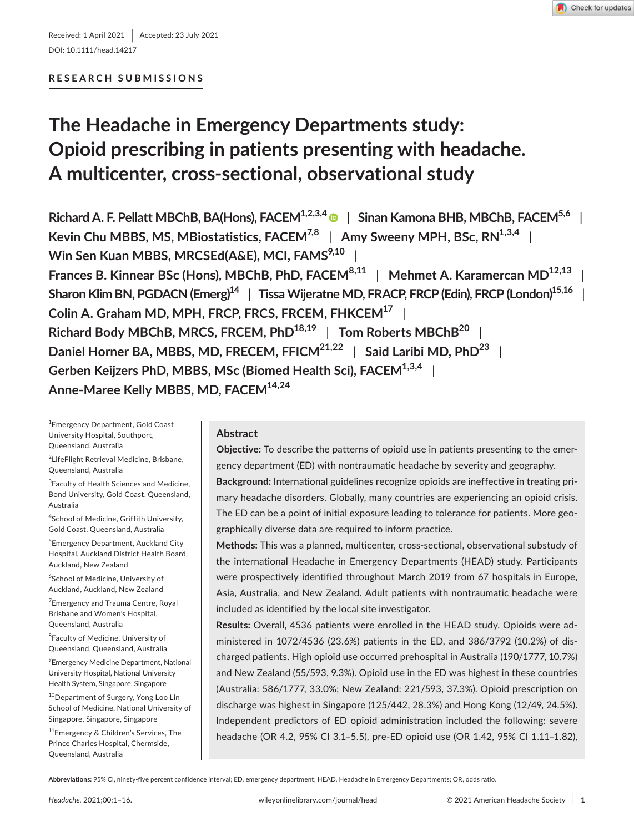DOI: 10.1111/head.14217

# **RESEARCH SUBMISSIONS**

# **The Headache in Emergency Departments study: Opioid prescribing in patients presenting with headache. A multicenter, cross-sectional, observational study**

**Richard A. F. Pellatt MBChB, BA(Hons), FACEM<sup>1,2,3,[4](https://orcid.org/0000-0003-0154-685X)</sup> | Sinan Kamona BHB, MBChB, FACEM<sup>5,6</sup> | Kevin Chu MBBS, MS, MBiostatistics, FACEM<sup>7,8</sup> | Amy Sweeny MPH, BSc, RN<sup>1,3,4</sup> | Win Sen Kuan MBBS, MRCSEd(A&E), MCI, FAMS<sup>9,10</sup> | Frances B. Kinnear BSc (Hons), MBChB, PhD, FACEM8,11** | **Mehmet A. Karamercan MD12,13** |

Sharon Klim BN, PGDACN (Emerg)<sup>14</sup> | Tissa Wijeratne MD, FRACP, FRCP (Edin), FRCP (London)<sup>15,16</sup> **Colin A. Graham MD, MPH, FRCP, FRCS, FRCEM, FHKCEM17** | **Richard Body MBChB, MRCS, FRCEM, PhD18,19** | **Tom Roberts MBChB20** | **Daniel Horner BA, MBBS, MD, FRECEM, FFICM21,22** | **Said Laribi MD, PhD23** | **Gerben Keijzers PhD, MBBS, MSc (Biomed Health Sci), FACEM1,3,4** | **Anne-Maree Kelly MBBS, MD, FACEM14,24**

1 Emergency Department, Gold Coast University Hospital, Southport, Queensland, Australia

2 LifeFlight Retrieval Medicine, Brisbane, Queensland, Australia

<sup>3</sup> Faculty of Health Sciences and Medicine, Bond University, Gold Coast, Queensland, Australia

4 School of Medicine, Griffith University, Gold Coast, Queensland, Australia

5 Emergency Department, Auckland City Hospital, Auckland District Health Board, Auckland, New Zealand

6 School of Medicine, University of Auckland, Auckland, New Zealand

<sup>7</sup> Emergency and Trauma Centre, Royal Brisbane and Women's Hospital, Queensland, Australia

<sup>8</sup>Faculty of Medicine, University of Queensland, Queensland, Australia

9 Emergency Medicine Department, National University Hospital, National University Health System, Singapore, Singapore

<sup>10</sup>Department of Surgery, Yong Loo Lin School of Medicine, National University of Singapore, Singapore, Singapore

<sup>11</sup>Emergency & Children's Services, The Prince Charles Hospital, Chermside, Queensland, Australia

# **Abstract**

**Objective:** To describe the patterns of opioid use in patients presenting to the emergency department (ED) with nontraumatic headache by severity and geography. **Background:** International guidelines recognize opioids are ineffective in treating pri-

mary headache disorders. Globally, many countries are experiencing an opioid crisis. The ED can be a point of initial exposure leading to tolerance for patients. More geographically diverse data are required to inform practice.

**Methods:** This was a planned, multicenter, cross-sectional, observational substudy of the international Headache in Emergency Departments (HEAD) study. Participants were prospectively identified throughout March 2019 from 67 hospitals in Europe, Asia, Australia, and New Zealand. Adult patients with nontraumatic headache were included as identified by the local site investigator.

**Results:** Overall, 4536 patients were enrolled in the HEAD study. Opioids were administered in 1072/4536 (23.6%) patients in the ED, and 386/3792 (10.2%) of discharged patients. High opioid use occurred prehospital in Australia (190/1777, 10.7%) and New Zealand (55/593, 9.3%). Opioid use in the ED was highest in these countries (Australia: 586/1777, 33.0%; New Zealand: 221/593, 37.3%). Opioid prescription on discharge was highest in Singapore (125/442, 28.3%) and Hong Kong (12/49, 24.5%). Independent predictors of ED opioid administration included the following: severe headache (OR 4.2, 95% CI 3.1–5.5), pre-ED opioid use (OR 1.42, 95% CI 1.11–1.82),

**Abbreviations:** 95% CI, ninety-five percent confidence interval; ED, emergency department; HEAD, Headache in Emergency Departments; OR, odds ratio.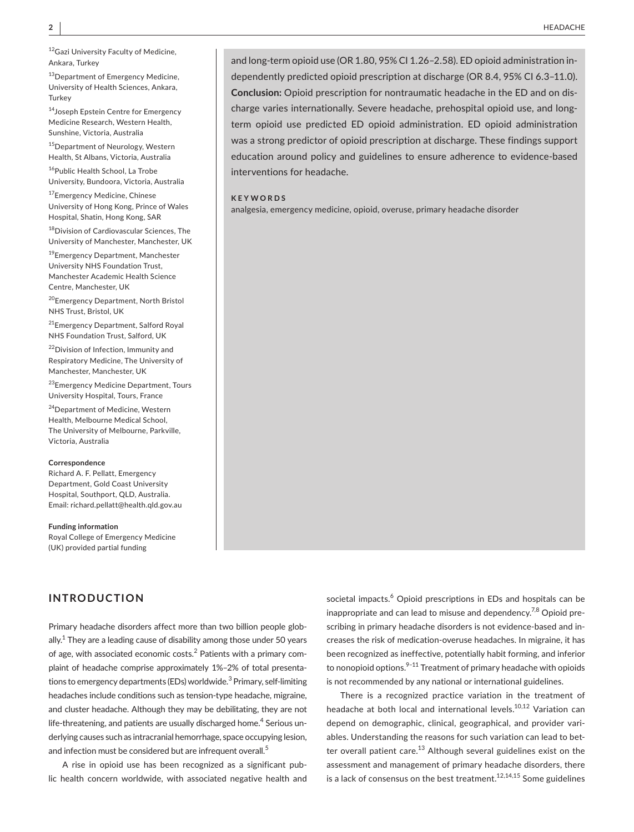12 Gazi University Faculty of Medicine, Ankara, Turkey

13Department of Emergency Medicine, University of Health Sciences, Ankara, **Turkey** 

<sup>14</sup>Joseph Epstein Centre for Emergency Medicine Research, Western Health, Sunshine, Victoria, Australia

<sup>15</sup>Department of Neurology, Western Health, St Albans, Victoria, Australia

<sup>16</sup>Public Health School, La Trobe University, Bundoora, Victoria, Australia

<sup>17</sup>Emergency Medicine, Chinese University of Hong Kong, Prince of Wales Hospital, Shatin, Hong Kong, SAR

<sup>18</sup>Division of Cardiovascular Sciences, The University of Manchester, Manchester, UK

<sup>19</sup>Emergency Department, Manchester University NHS Foundation Trust, Manchester Academic Health Science Centre, Manchester, UK

<sup>20</sup>Emergency Department, North Bristol NHS Trust, Bristol, UK

<sup>21</sup>Emergency Department, Salford Royal NHS Foundation Trust, Salford, UK

22 Division of Infection, Immunity and Respiratory Medicine, The University of Manchester, Manchester, UK

23Emergency Medicine Department, Tours University Hospital, Tours, France

<sup>24</sup>Department of Medicine, Western Health, Melbourne Medical School, The University of Melbourne, Parkville, Victoria, Australia

#### **Correspondence**

Richard A. F. Pellatt, Emergency Department, Gold Coast University Hospital, Southport, QLD, Australia. Email: [richard.pellatt@health.qld.gov.au](mailto:richard.pellatt@health.qld.gov.au)

**Funding information** Royal College of Emergency Medicine (UK) provided partial funding

# **INTRODUCTION**

Primary headache disorders affect more than two billion people globally. $1$  They are a leading cause of disability among those under 50 years of age, with associated economic costs.<sup>2</sup> Patients with a primary complaint of headache comprise approximately 1%–2% of total presentations to emergency departments (EDs) worldwide.<sup>3</sup> Primary, self-limiting headaches include conditions such as tension-type headache, migraine, and cluster headache. Although they may be debilitating, they are not life-threatening, and patients are usually discharged home.<sup>4</sup> Serious underlying causes such as intracranial hemorrhage, space occupying lesion, and infection must be considered but are infrequent overall.<sup>5</sup>

A rise in opioid use has been recognized as a significant public health concern worldwide, with associated negative health and

and long-term opioid use (OR 1.80, 95% CI 1.26–2.58). ED opioid administration independently predicted opioid prescription at discharge (OR 8.4, 95% CI 6.3–11.0). **Conclusion:** Opioid prescription for nontraumatic headache in the ED and on discharge varies internationally. Severe headache, prehospital opioid use, and longterm opioid use predicted ED opioid administration. ED opioid administration was a strong predictor of opioid prescription at discharge. These findings support education around policy and guidelines to ensure adherence to evidence-based interventions for headache.

### **KEYWORDS**

analgesia, emergency medicine, opioid, overuse, primary headache disorder

societal impacts.<sup>6</sup> Opioid prescriptions in EDs and hospitals can be inappropriate and can lead to misuse and dependency.<sup>7,8</sup> Opioid prescribing in primary headache disorders is not evidence-based and increases the risk of medication-overuse headaches. In migraine, it has been recognized as ineffective, potentially habit forming, and inferior to nonopioid options. $9-11$  Treatment of primary headache with opioids is not recommended by any national or international guidelines.

There is a recognized practice variation in the treatment of headache at both local and international levels.<sup>10,12</sup> Variation can depend on demographic, clinical, geographical, and provider variables. Understanding the reasons for such variation can lead to better overall patient care.<sup>13</sup> Although several guidelines exist on the assessment and management of primary headache disorders, there is a lack of consensus on the best treatment.<sup>12,14,15</sup> Some guidelines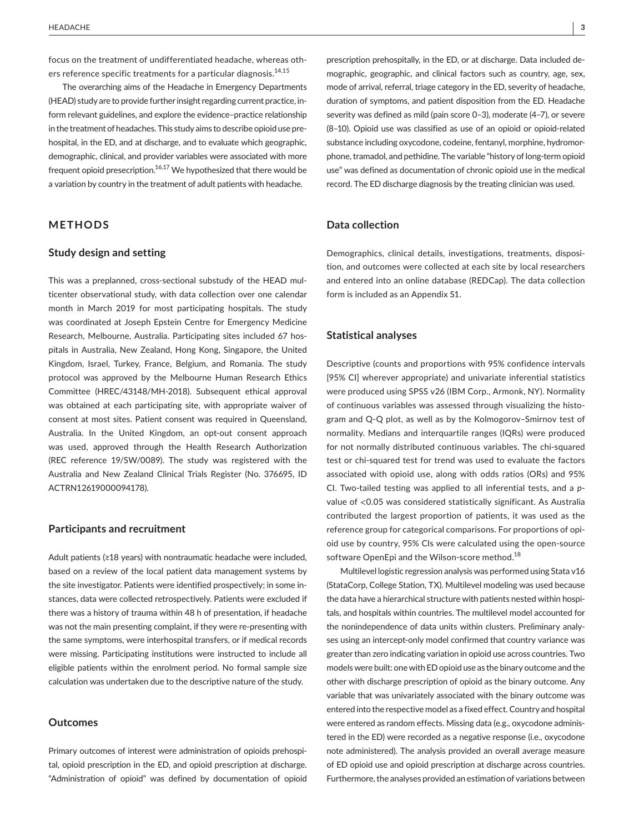focus on the treatment of undifferentiated headache, whereas others reference specific treatments for a particular diagnosis.<sup>14,15</sup>

The overarching aims of the Headache in Emergency Departments (HEAD) study are to provide further insight regarding current practice, inform relevant guidelines, and explore the evidence–practice relationship in the treatment of headaches. This study aims to describe opioid use prehospital, in the ED, and at discharge, and to evaluate which geographic, demographic, clinical, and provider variables were associated with more frequent opioid presecription. $16,17$  We hypothesized that there would be a variation by country in the treatment of adult patients with headache.

# **METHODS**

## **Study design and setting**

This was a preplanned, cross-sectional substudy of the HEAD multicenter observational study, with data collection over one calendar month in March 2019 for most participating hospitals. The study was coordinated at Joseph Epstein Centre for Emergency Medicine Research, Melbourne, Australia. Participating sites included 67 hospitals in Australia, New Zealand, Hong Kong, Singapore, the United Kingdom, Israel, Turkey, France, Belgium, and Romania. The study protocol was approved by the Melbourne Human Research Ethics Committee (HREC/43148/MH-2018). Subsequent ethical approval was obtained at each participating site, with appropriate waiver of consent at most sites. Patient consent was required in Queensland, Australia. In the United Kingdom, an opt-out consent approach was used, approved through the Health Research Authorization (REC reference 19/SW/0089). The study was registered with the Australia and New Zealand Clinical Trials Register (No. 376695, ID ACTRN12619000094178).

### **Participants and recruitment**

Adult patients (≥18 years) with nontraumatic headache were included, based on a review of the local patient data management systems by the site investigator. Patients were identified prospectively; in some instances, data were collected retrospectively. Patients were excluded if there was a history of trauma within 48 h of presentation, if headache was not the main presenting complaint, if they were re-presenting with the same symptoms, were interhospital transfers, or if medical records were missing. Participating institutions were instructed to include all eligible patients within the enrolment period. No formal sample size calculation was undertaken due to the descriptive nature of the study.

### **Outcomes**

Primary outcomes of interest were administration of opioids prehospital, opioid prescription in the ED, and opioid prescription at discharge. "Administration of opioid" was defined by documentation of opioid

prescription prehospitally, in the ED, or at discharge. Data included demographic, geographic, and clinical factors such as country, age, sex, mode of arrival, referral, triage category in the ED, severity of headache, duration of symptoms, and patient disposition from the ED. Headache severity was defined as mild (pain score 0–3), moderate (4–7), or severe (8–10). Opioid use was classified as use of an opioid or opioid-related substance including oxycodone, codeine, fentanyl, morphine, hydromorphone, tramadol, and pethidine. The variable "history of long-term opioid use" was defined as documentation of chronic opioid use in the medical record. The ED discharge diagnosis by the treating clinician was used.

# **Data collection**

Demographics, clinical details, investigations, treatments, disposition, and outcomes were collected at each site by local researchers and entered into an online database (REDCap). The data collection form is included as an Appendix S1.

## **Statistical analyses**

Descriptive (counts and proportions with 95% confidence intervals [95% CI] wherever appropriate) and univariate inferential statistics were produced using SPSS v26 (IBM Corp., Armonk, NY). Normality of continuous variables was assessed through visualizing the histogram and Q-Q plot, as well as by the Kolmogorov–Smirnov test of normality. Medians and interquartile ranges (IQRs) were produced for not normally distributed continuous variables. The chi-squared test or chi-squared test for trend was used to evaluate the factors associated with opioid use, along with odds ratios (ORs) and 95% CI. Two-tailed testing was applied to all inferential tests, and a *p*value of <0.05 was considered statistically significant. As Australia contributed the largest proportion of patients, it was used as the reference group for categorical comparisons. For proportions of opioid use by country, 95% CIs were calculated using the open-source software OpenEpi and the Wilson-score method.<sup>18</sup>

Multilevel logistic regression analysis was performed using Stata v16 (StataCorp, College Station, TX). Multilevel modeling was used because the data have a hierarchical structure with patients nested within hospitals, and hospitals within countries. The multilevel model accounted for the nonindependence of data units within clusters. Preliminary analyses using an intercept-only model confirmed that country variance was greater than zero indicating variation in opioid use across countries. Two models were built: one with ED opioid use as the binary outcome and the other with discharge prescription of opioid as the binary outcome. Any variable that was univariately associated with the binary outcome was entered into the respective model as a fixed effect. Country and hospital were entered as random effects. Missing data (e.g., oxycodone administered in the ED) were recorded as a negative response (i.e., oxycodone note administered). The analysis provided an overall average measure of ED opioid use and opioid prescription at discharge across countries. Furthermore, the analyses provided an estimation of variations between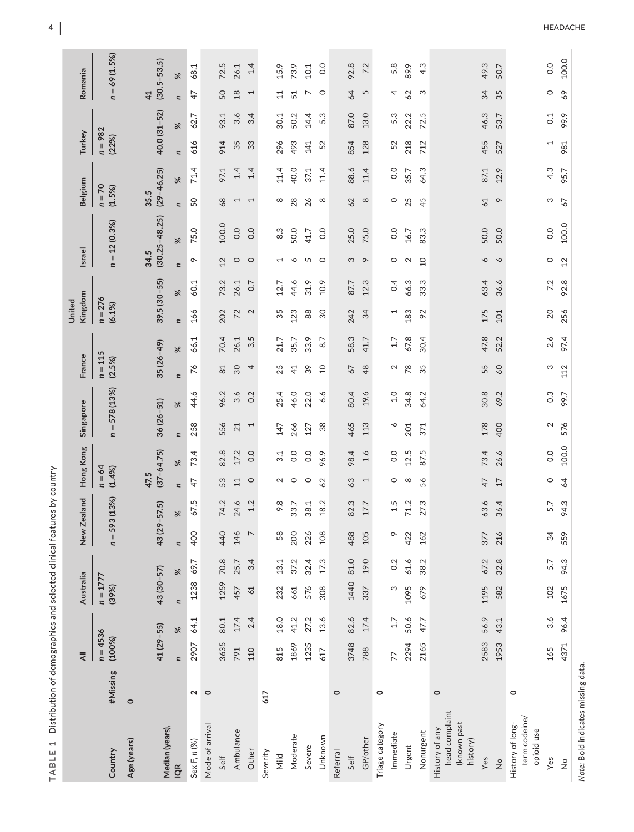TABLE 1 Distribution of demographics and selected clinical features by country **TABLE 1** Distribution of demographics and selected clinical features by country

|                                                             |          | $\overline{4}$           |      | Australia                |          |                          | New Zealand | Hong Kong                |                | Singapore                                     |                       | France        | Kingdom<br>United        |                 | <b>Israel</b>            |                   | Belgium                |          | Turkey             |      | Romania                           |              |
|-------------------------------------------------------------|----------|--------------------------|------|--------------------------|----------|--------------------------|-------------|--------------------------|----------------|-----------------------------------------------|-----------------------|---------------|--------------------------|-----------------|--------------------------|-------------------|------------------------|----------|--------------------|------|-----------------------------------|--------------|
| Country                                                     | #Missing | $n = 4536$<br>(100%)     |      | $n = 1777$<br>(39%)      |          | 59<br>$n =$              | 3(13%)      | $n = 64$<br>(1.4%        |                | 578 (13%)<br>$\, \parallel$<br>$\overline{a}$ | (2.5%)                | $n = 115$     | $n = 276$<br>(6.1%)      |                 | u                        | $= 12(0.3%)$      | $n = 70$<br>(1.5%)     |          | $n = 982$<br>(22%) |      | $\overline{\phantom{a}}$          | $= 69(1.5%)$ |
| Age (years)                                                 | $\circ$  |                          |      |                          |          |                          |             |                          |                |                                               |                       |               |                          |                 |                          |                   |                        |          |                    |      |                                   |              |
| Median (years)                                              |          | 41 (29-55)               |      | $43(30 - 57)$            |          | 43 (29-57.5)             |             | $(37 - 64.75)$<br>47.5   |                | $36(26 - 51)$                                 |                       | $35(26 - 49)$ |                          | $39.5(30 - 55)$ | 34.5                     | $(30.25 - 48.25)$ | $(29 - 46.25)$<br>35.5 |          | 40.0 (31-52)       |      | $(30.5 - 53.5)$<br>$\overline{4}$ |              |
| IQR                                                         |          | $\overline{\phantom{a}}$ | $\%$ | $\overline{\phantom{a}}$ | $\aleph$ | $\overline{\phantom{a}}$ | ৼ           | u                        | $\aleph$       | $\approx$<br>n                                | n                     | $\approx$     | $\overline{\phantom{a}}$ | $\aleph$        | $\overline{a}$           | $\approx$         | u                      | $\aleph$ | $\approx$<br>n     |      | ৼ<br>$\overline{\phantom{a}}$     |              |
| Sex F, n (%)                                                | $\sim$   | 2907                     | 64.1 | 1238                     | 69.7     | 400                      | r.<br>57.   | 47                       | 73.4           | 44.6<br>258                                   | 76                    | 66.1          | 166                      | 60.1            | ó                        | 75.0              | 50                     | 71.4     | 616                | 62.7 | 47                                | 68.1         |
| Mode of arrival                                             | $\circ$  |                          |      |                          |          |                          |             |                          |                |                                               |                       |               |                          |                 |                          |                   |                        |          |                    |      |                                   |              |
| Self                                                        |          | 3635                     | 80.1 | 1259                     | 70.8     | 440                      | 74.2        | 53                       | 82.8           | 96.2<br>556                                   | $\approx$             | 70.4          | 202                      | 73.2            | 12                       | 100.0             | 68                     | 97.1     | 914                | 93.1 | 50                                | 72.5         |
| Ambulance                                                   |          | 791                      | 17.4 | 457                      | 25.7     | 146                      | 24.6        | 11                       | 17.2           | 21                                            | 30<br>3.6             | 26.1          | 72                       | 26.1            | $\circ$                  | 0.0               | $\overline{ }$         | 1.4      | 35                 | 3.6  | 18                                | 26.1         |
| Other                                                       |          | 110                      | 2.4  | 61                       | 3.4      | $\overline{ }$           | 1.2         | $\circ$                  | 0.0            | $\overline{ }$                                | 4<br>0.2              | 3.5           | 2                        | C <sub>0</sub>  | $\circ$                  | 0.0               | $\overline{ }$         | 1.4      | 33                 | 3.4  | $\overline{\phantom{0}}$          | 1.4          |
| Severity                                                    | 617      |                          |      |                          |          |                          |             |                          |                |                                               |                       |               |                          |                 |                          |                   |                        |          |                    |      |                                   |              |
| Mild                                                        |          | 815                      | 18.0 | 232                      | 13.1     | 58                       | 9.8         | $\sim$                   | 3.1            | 25.4<br>147                                   | 25                    | 21.7          | 35                       | 12.7            | $\overline{\phantom{0}}$ | $8.\overline{3}$  | ${}^{\circ}$           | 11.4     | 296                | 30.1 | $\Xi$                             | 15.9         |
| Moderate                                                    |          | 1869                     | 41.2 | 661                      | 37.2     | 200                      | 33.7        | $\circ$                  | 0.0            | 46.0<br>266                                   | $\overline{4}$        | 35.7          | 123                      | 44.6            | ♦                        | 50.0              | 28                     | 40.0     | 493                | 50.2 | 51                                | 73.9         |
| Severe                                                      |          | 1235                     | 27.2 | 576                      | 32.4     | 226                      | 38.1        | $\circ$                  | 0.0            | 22.0<br>127                                   | 39                    | 33.9          | $88$                     | 31.9            | 5                        | 41.7              | 26                     | 37.1     | 141                | 14.4 | ↖                                 | 10.1         |
| Unknown                                                     |          | 617                      | 13.6 | 308                      | 17.3     | 108                      | 18.2        | 62                       | 96.9           | $38\,$                                        | $\overline{a}$<br>6.6 | 8.7           | $\overline{30}$          | 10.9            | $\circ$                  | 0.0               | $\infty$               | 11.4     | 52                 | 5.3  | $\circ$                           | 0.0          |
| Referral                                                    | $\circ$  |                          |      |                          |          |                          |             |                          |                |                                               |                       |               |                          |                 |                          |                   |                        |          |                    |      |                                   |              |
| Self                                                        |          | 3748                     | 82.6 | 1440                     | 81.0     | 488                      | 82.3        | 63                       | 98.4           | 80.4<br>465                                   | 67                    | 58.3          | 242                      | 87.7            | S                        | 25.0              | 62                     | 88.6     | 854                | 87.0 | 64                                | 92.8         |
| GP/other                                                    |          | 788                      | 17.4 | 337                      | 19.0     | 105                      | 17.7        | $\overline{\phantom{0}}$ | 1.6            | 19.6<br>113                                   | 48                    | 41.7          | 34                       | 12.3            | $\infty$                 | 75.0              | $\infty$               | 11.4     | 128                | 13.0 | 5                                 | 7.2          |
| Triage category                                             | $\circ$  |                          |      |                          |          |                          |             |                          |                |                                               |                       |               |                          |                 |                          |                   |                        |          |                    |      |                                   |              |
| Immediate                                                   |          | 77                       | 1.7  | ო                        | 0.2      | ᡐ                        | 1.5         | O                        | 0.0            | ♦                                             | $\sim$<br>1.0         | 1.7           | 1                        | 0.4             | $\circ$                  | $\overline{0}$    | $\circ$                | 0.0      | 52                 | 5.3  | 4                                 | 5.8          |
| Urgent                                                      |          | 2294                     | 50.6 | 1095                     | 61.6     | 422                      | 71.2        | $\infty$                 | 12.5           | 34.8<br>201                                   | 78                    | 67.8          | 183                      | 66.3            | $\sim$                   | 16.7              | 25                     | 35.7     | 218                | 22.2 | 62                                | 89.9         |
| Nonurgent                                                   |          | 2165                     | 47.7 | 679                      | 38.2     | 162                      | 27.3        | 56                       | 87.5           | 64.2<br>371                                   | 35                    | 30.4          | 92                       | 33.3            | $\overline{a}$           | 83.3              | 45                     | 64.3     | 712                | 72.5 | S                                 | 4.3          |
| head complaint<br>(known past<br>History of any<br>history) | $\circ$  |                          |      |                          |          |                          |             |                          |                |                                               |                       |               |                          |                 |                          |                   |                        |          |                    |      |                                   |              |
| Yes                                                         |          | 2583                     | 56.9 | 1195                     | 67.2     | 377                      | 63.6        | $\overline{4}$           | 73.4           | 30.8<br>178                                   | 55                    | 47.8          | 175                      | 63.4            | $\mathsf{\circ}$         | 50.0              | 61                     | 87.1     | 455                | 46.3 | 34                                | 49.3         |
| $\frac{1}{2}$                                               |          | 1953                     | 43.1 | 582                      | 32.8     | 216                      | 36.4        | 17                       | 26.6           | 69.2<br>400                                   | 60                    | 52.2          | 101                      | 36.6            | $\circ$                  | 50.0              | $\circ$                | 12.9     | 527                | 53.7 | 35                                | 50.7         |
| term codeine/<br>History of long-<br>opioid use             | $\circ$  |                          |      |                          |          |                          |             |                          |                |                                               |                       |               |                          |                 |                          |                   |                        |          |                    |      |                                   |              |
| Yes                                                         |          | 165                      | 3.6  | 102                      | 5.7      | 34                       | 5.7         | $\circ$                  | $\overline{0}$ | $\mathbf 2$                                   | S<br>$0.\overline{3}$ | 2.6           | 20                       | 7.2             | $\circ$                  | 0.0               | S                      | 4.3      | $\overline{ }$     | 0.1  | $\circ$                           | 0.0          |
| $\frac{\circ}{2}$                                           |          | 4371                     | 96.4 | 1675                     | 94.3     | 559                      | 94.3        | 64                       | 100.0          | 99.7<br>576                                   | 112                   | 97.4          | 256                      | 92.8            | 12                       | 100.0             | 67                     | 95.7     | 981                | 99.9 | 69                                | 100.0        |
|                                                             |          |                          |      |                          |          |                          |             |                          |                |                                               |                       |               |                          |                 |                          |                   |                        |          |                    |      |                                   |              |

Note: Bold indicates missing data. *Note:* Bold indicates missing data.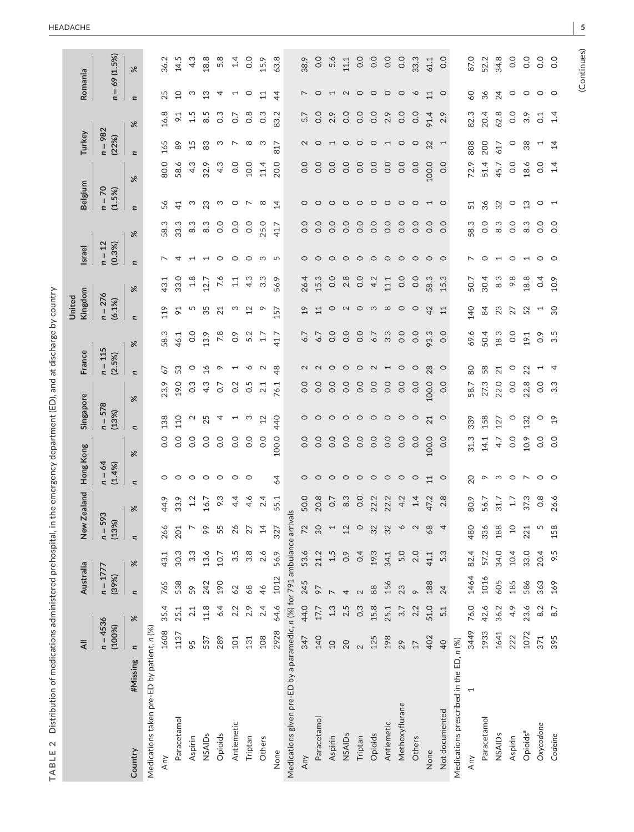| ١                                          |
|--------------------------------------------|
| j<br>֚֘֝                                   |
| l<br>l<br>J<br>֖֖֖֖֚֚֚֚֚֚֚֬<br>I<br>١<br>j |
| i<br>j<br>í<br>ī                           |
|                                            |
| Ś<br>d<br>$\ddot{\phantom{0}}$             |
| ĺ<br>١<br>į<br>j<br>ï                      |
|                                            |
| ֧֧֦֧֦֧֦֧֦֧֦֧֦֧֦֧֦֧֦֧֚֝ <u>֚֓</u><br>i<br>ć |
| Ś<br>١<br>١                                |
| Ì                                          |
| ĭ<br>١<br>Š<br>5                           |
| l                                          |
| j<br>l                                     |
| 7                                          |
| Ó                                          |
| ć                                          |
| j<br>i<br>l                                |
| .<br>موج<br>i<br>١                         |
| S<br>Ş                                     |
| ֚֚֡֡<br>¢                                  |
| j<br>İ                                     |
| $\overline{\phantom{a}}$<br>d              |
| ֧֦֧֦֧֦֧֦֧֦֧֦֧ <u>֚֓</u>                    |
| I                                          |
| ۱                                          |
| 1<br>j<br>ׇ֚֘<br>l<br>ļ                    |
| ¢<br>J                                     |
| Ľ                                          |
| $\mathbf{\underline{\infty}}$<br>₹<br>I    |
|                                            |

 $\mathbf{r}$ 

|                                                                           |          | $\overline{4}$           |      | Australia                |                  | New Zealand                                  |                  | Hong Kong                |                | Singapore                |                                      | France              |                                  | Kingdom<br>United        |          | <b>Israel</b>                 |                  | Belgium                  |       | Turkey                   |                  | Romania                  |             |
|---------------------------------------------------------------------------|----------|--------------------------|------|--------------------------|------------------|----------------------------------------------|------------------|--------------------------|----------------|--------------------------|--------------------------------------|---------------------|----------------------------------|--------------------------|----------|-------------------------------|------------------|--------------------------|-------|--------------------------|------------------|--------------------------|-------------|
|                                                                           |          | $n = 4536$<br>(100%)     |      | $n = 1777$<br>(39%)      |                  | $n = 593$<br>(13%)                           |                  | $n = 64$<br>(1.4%)       |                | $n = 578$<br>(13%)       |                                      | $n = 115$<br>(2.5%) |                                  | $n = 276$<br>(6.1%)      |          | $n = 12$<br>(0.3%             |                  | $n = 70$<br>(1.5%)       |       | $n = 982$<br>(22%)       |                  | $n =$                    | 69 (1.5%)   |
| Country                                                                   | #Missing | $\overline{\phantom{a}}$ | $\%$ | $\overline{\phantom{a}}$ | $\aleph$         | $\overline{a}$                               | $\%$             | $\overline{\phantom{a}}$ | $\%$           | $\overline{\phantom{a}}$ | $\overline{\phantom{a}}$<br>$\aleph$ |                     | $\overline{\phantom{a}}$<br>$\%$ |                          | $\aleph$ | $\overline{\phantom{a}}$      | $\aleph$         | $\overline{\phantom{a}}$ | $\%$  | $\overline{\phantom{a}}$ | $\aleph$         | $\overline{\phantom{a}}$ | $\%$        |
| Medications taken pre-ED by patient, n (%)                                |          |                          |      |                          |                  |                                              |                  |                          |                |                          |                                      |                     |                                  |                          |          |                               |                  |                          |       |                          |                  |                          |             |
| Any                                                                       |          | 1608                     | 35.4 | 765                      | 43.1             | 266                                          | 44.9             | 0                        | 0.0            | 138                      | 23.9                                 | 67                  | 58.3                             | 119                      | 43.1     |                               | 58.3             | 56                       | 80.0  | 165                      | 16.8             | 25                       | 36.2        |
| Paracetamol                                                               |          | 1137                     | 25.1 | 538                      | 30.3             | 201                                          | 33.9             | $\circ$                  | $\rm ^{0}$     | 110                      | 19.0                                 | 53                  | 46.1                             | $\overline{6}$           | 33.0     |                               | 33.3             | $\overline{4}$           | 58.6  | $89$                     | $\overline{5}$   | $\overline{c}$           | 14.5        |
| Aspirin                                                                   |          | 95                       | 2.1  | 59                       | $3.\overline{3}$ |                                              | 1.2              | $\circ$                  | 0.0            | $\mathbf{\Omega}$        | $0.\overline{3}$                     | $\circ$             | $\overline{O}$                   | 5                        | 1.8      |                               | $8.\overline{3}$ | S                        | 4.3   | 15                       | 1.5              | ო                        | 4.3         |
| NSAIDs                                                                    |          | 537                      | 11.8 | 242                      | 13.6             | 99                                           | 16.7             | $\circ$                  | 0.0            | 25                       | 4.3                                  | $\frac{1}{6}$       | 13.9                             | 35                       | 12.7     | $\overline{\phantom{0}}$      | 8.3              | 23                       | 32.9  | 83                       | 8.5              | 13                       | 18.8        |
| Opioids                                                                   |          | 289                      | 6.4  | 190                      | 10.7             | 55                                           | 9.3              | $\circ$                  | 0.0            | 4                        | 0.7                                  | $\circ$             | 7.8                              | 21                       | 7.6      | $\circ$                       | 0.0              | S                        | 4.3   | က                        | $0.\overline{3}$ | 4                        | 5.8         |
| Antiemetic                                                                |          | 101                      | 2.2  | 62                       | 3.5              | $\delta$                                     | 4.4              | $\circ$                  | 0.0            |                          | 0.2                                  | $\overline{ }$      | $\frac{6}{10}$                   | ო                        | 1.1      | $\circ$                       | 0.0              | $\circ$                  | 0.0   | $\overline{\phantom{0}}$ | 0.7              | $\overline{ }$           | 1.4         |
| Triptan                                                                   |          | 131                      | 2.9  | 68                       | $3.\overline{8}$ | $\sim$                                       | 4.6              | $\circ$                  | 0.0            | ო                        | 0.5                                  | ∿                   | 5.2                              | 12                       | 4.3      | $\circ$                       | $\overline{O}$   | $\overline{a}$           | 10.0  | $\infty$                 | $0.\overline{8}$ | $\circ$                  | 0.0         |
| Others                                                                    |          | 108                      | 2.4  | 46                       | 2.6              | $14\,$                                       | 2.4              |                          | 0.0            | 12                       | 2.1                                  | $\sim$              | 1.7                              | $\circ$                  | 3.3      | S                             | 25.0             | $\infty$                 | 11.4  | ా                        | $0.\overline{3}$ | 11                       | 15.9        |
| None                                                                      |          | 2928                     | 64.6 | 1012                     | 56.9             | 327                                          | 55.1             | $\overline{6}$           | 100.0          | 440                      | 76.1                                 | $\frac{8}{4}$       | 41.7                             | 57                       | 56.9     | 5                             | 41.7             | $\overline{4}$           | 20.0  | 817                      | 83.2             | $\overline{4}$           | 63.8        |
| Medications given pre-ED by a paramedic, n (%) for 791 ambulance arrivals |          |                          |      |                          |                  |                                              |                  |                          |                |                          |                                      |                     |                                  |                          |          |                               |                  |                          |       |                          |                  |                          |             |
| Any                                                                       |          | 347                      | 44.0 | 245                      | 53.6             |                                              | 50.0             | $\circ$                  | 0.0            | $\circ$                  | 0.0                                  | $\mathbf 2$         | 6.7                              | 19                       | 26.4     | $\circ$                       | 0.0              | $\circ$                  | 0.0   | $\mathbf 2$              | 5.7              | $\overline{ }$           | 38.9        |
| Paracetamol                                                               |          | 140                      | 17.7 | 97                       | 21.2             | $\begin{array}{c} 72 \\ 30 \\ 1 \end{array}$ | 20.8             | $\circ$                  | 0.0            | $\circ$                  | 0.0                                  | $\mathbf{\Omega}$   | 6.7                              | 11                       | 15.3     | $\circ$                       | $\overline{O}$ . | $\circ$                  | 0.0   | $\circ$                  | 0.0              | $\circ$                  | 0.0         |
| Aspirin                                                                   |          | $\overline{a}$           | 1.3  |                          | 1.5              |                                              | 0.7              | $\circ$                  | 0.0            | $\circ$                  | 0.0                                  | $\circ$             | 0.0                              | $\circ$                  | 0.0      | $\circ$                       | 0.0              | $\circ$                  | 0.0   | $\overline{ }$           | 2.9              | $\overline{ }$           | 5.6         |
| NSAIDs                                                                    |          | 20                       | 2.5  | 4                        | 0.9              | 12                                           | 8.3              | $\circ$                  | 0.0            | $\circ$                  | 0.0                                  | $\circ$             | $\overline{0}$                   | $\sim$                   | 2.8      | $\circ$                       | 0.0              | $\circ$                  | 0.0   | $\circ$                  | 0.0              | $\sim$ 0                 | 11.1        |
| Triptan                                                                   |          | $\sim$                   | 0.3  | $\sim$                   | 0.4              | $\circ$                                      | 0.0              | $\circ$                  | 0.0            | $\circ$                  | 0.0                                  | $\circ$             | 0.0                              | $\circ$                  | 0.0      | $\circ$                       | $\overline{O}$ . | $\circ$                  | 0.0   | $\circ$                  | 0.0              |                          | 0.0         |
| Opioids                                                                   |          | 125                      | 15.8 | $88$                     | 19.3             | 32                                           | 22.2             | $\circ$                  | 0.0            | $\circ$                  | $\overline{0}$                       | $\sim$              | 6.7                              | က                        | 4.2      | $\circ$                       | $\overline{O}$ . | $\circ$                  | 0.0   | $\circ$                  | 0.0              | $\circ$                  | 0.0         |
| Antiemetic                                                                |          | 198                      | 25.1 | 156                      | 34.1             | 32                                           | 22.2             | $\circ$                  | 0.0            | $\circ$                  | 0.0                                  | $\overline{a}$      | $3.\overline{3}$                 | $\infty$                 | 11.1     | $\circ$                       | 0.0              | $\circ$                  | 0.0   | $\overline{ }$           | 2.9              | $\circ$                  | 0.0         |
| Methoxyflurane                                                            |          | 29                       | 3.7  | 23                       | 5.0              | $\circ$                                      | 4.2              | $\circ$                  | 0.0            | $\circ$                  | 0.0                                  | $\circ$             | 0.0                              | $\circ$                  | 0.0      | $\circ$                       | $\overline{O}$ . | $\circ$                  | 0.0   | $\circ$                  | 0.0              | $\circ$                  | 0.0         |
| Others                                                                    |          | 17                       | 2.2  |                          | 2.0              |                                              | 1.4              | $\circ$                  | 0.0            | $\circ$                  | 0.0                                  | $\circ$             | 0.0                              | $\circ$                  | 0.0      | $\circ$                       | 0.0              | $\circ$                  | 0.0   | $\circ$                  | 0.0              | $\circ$                  | 33.3        |
| None                                                                      |          | 402                      | 51.0 | 188                      | 41.1             | $68$                                         | 47.2             | 11                       | 100.0          | 21                       | 100.0                                | 28                  | 93.3                             | 42                       | 58.3     | $\circ$                       | 0.0              | $\overline{a}$ 0         | 100.0 | 32                       | 91.4             | 11                       | 61.1        |
| Not documented                                                            |          | 40                       | 5.1  | 24                       | 5.3              | 4                                            | 2.8              | $\circ$                  | 0.0            | $\circ$                  | 0.0                                  | $\circ$             | 0.0                              | 11                       | 15.3     | $\circ$                       | 0.0              |                          | 0.0   | $\overline{ }$           | 2.9              | $\circ$                  | $rac{0}{0}$ |
| Medications prescribed in the ED, n (%)                                   |          |                          |      |                          |                  |                                              |                  |                          |                |                          |                                      |                     |                                  |                          |          |                               |                  |                          |       |                          |                  |                          |             |
| 1<br>Any                                                                  |          | 3449                     | 76.0 | 1464                     | 82.4             |                                              | 80.9             | 20                       | 31.3           | 339                      | 58.7                                 | 80                  | 69.6                             | 140                      | 50.7     | $\overline{\phantom{1}}$      | 58.3             | 51                       | 72.9  | 808                      | 82.3             | $\delta$                 | 87.0        |
| Paracetamol                                                               |          | 1933                     | 42.6 | 1016                     | 57.2             | $480$ $88$ $98$ $92$ $15$ $9$                | 56.7             | $\circ$                  | 14.1           | 158                      | 27.3                                 | 58                  | 50.4                             | 84                       | 30.4     | $\circ$                       | 0.0              | 36                       | 51.4  | 200                      | 20.4             | 36                       | 52.2        |
| NSAIDs                                                                    |          | 1641                     | 36.2 | 605                      | 34.0             |                                              | 31.7             | က                        | 4.7            | 127                      | 22.0                                 | 21                  | 18.3                             | 23                       | 8.3      | $\overline{ }$                | 8.3              | 32                       | 45.7  | 617                      | 62.8             | $\overline{24}$          | 34.8        |
| Aspirin                                                                   |          | 222                      | 4.9  | 185                      | 10.4             |                                              | 1.7              | $\circ$                  | 0.0            | $\circ$                  | 0.0                                  | $\circ$             | 0.0                              | 27                       | 9.8      | $\circ$                       | 0.0              | $\circ$                  | 0.0   | $\circ$                  | 0.0              | $\circ$                  | 0.0         |
| Opioids <sup>a</sup>                                                      |          | 1072                     | 23.6 | 586                      | 33.0             |                                              | 37.3             | $\sim$ 0                 | 10.9           | 132                      | 22.8                                 | 22                  | 19.1                             | 52                       | 18.8     | $\overline{a}$ $\overline{b}$ | 8.3              | 13                       | 18.6  | 38                       | 3.9              | $\circ$ $\circ$          | 0.0         |
| Oxycodone                                                                 |          | 371                      | 8.2  | 363                      | 20.4             |                                              | $0.\overline{8}$ |                          | 0.0            | $\circ$                  | 0.0                                  |                     | $\frac{6}{3}$                    | $\overline{\phantom{0}}$ | 0.4      |                               | 0.0              | $\circ$                  | 0.0   | $\overline{ }$           | $\overline{0}$ : |                          | 0.0         |
| Codeine                                                                   |          | 395                      | 8.7  | 169                      | 9.5              | 158                                          | 26.6             | $\circ$                  | $\overline{O}$ | 19                       | $3.\overline{3}$                     | 4                   | 3.5                              | $\overline{30}$          | 10.9     | $\circ$                       | $\overline{O}$   | $\overline{ }$           | 1.4   | $\overline{4}$           | 1.4              | $\circ$                  | 0.0         |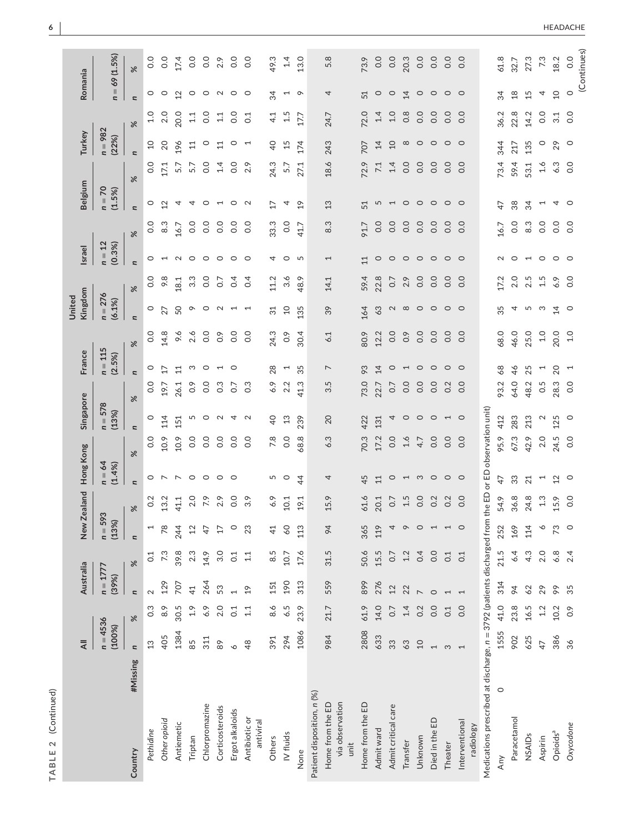| Ì<br>t<br>١<br>b |
|------------------|
|                  |
|                  |
|                  |
| 1                |

|                                                                         | $\equiv$                 |                      |                          | Australia |                          | New Zealand | Hong Kong                      |                  | Singapore                |                                      | France                             | United                   | Kingdom          | <b>Israel</b>            |                | Belgium                  |          | Turkey                   |                  | Romania                  |                |
|-------------------------------------------------------------------------|--------------------------|----------------------|--------------------------|-----------|--------------------------|-------------|--------------------------------|------------------|--------------------------|--------------------------------------|------------------------------------|--------------------------|------------------|--------------------------|----------------|--------------------------|----------|--------------------------|------------------|--------------------------|----------------|
|                                                                         |                          | $n = 4536$<br>(100%) | $n = 1777$<br>(39%)      |           | $n = 59$<br>(13%)        | က္          | $n = 64$<br>(1.4%              |                  | $n = 578$<br>(13%)       |                                      | $n = 115$<br>(2.5%)                | (6.1%)                   | $n = 276$        | $n = 12$<br>(0.3%)       |                | $n = 70$<br>(1.5%)       |          | $n = 982$<br>(22%)       |                  |                          | $n = 69(1.5%)$ |
| #Missing<br>Country                                                     | $\overline{\phantom{a}}$ | $\aleph$             | $\overline{\phantom{a}}$ | $\approx$ | $\overline{a}$           | ৼ           | $\overline{\phantom{a}}$       | $\%$             | $\overline{\phantom{a}}$ | $\overline{\phantom{a}}$<br>$\aleph$ | $\frac{8}{3}$                      | $\overline{\phantom{a}}$ | $\approx$        | $\overline{\phantom{a}}$ | $\aleph$       | $\overline{\phantom{a}}$ | $\aleph$ | $\overline{\phantom{a}}$ | $\aleph$         | $\overline{\phantom{a}}$ | $\approx$      |
| Pethidine                                                               | 13                       | $0.\overline{3}$     | $\sim$                   | 0.1       | 1                        | 0.2         | $\circ$                        | 0.0              | 0                        | 0.0                                  | 0.0<br>$\circ$                     | $\circ$                  | 0.0              | 0                        | 0.0            | 0                        | 0.0      | $\overline{c}$           | 1.0              | $\circ$                  | 0.0            |
| Other opioid                                                            | 405                      | 8.9                  | 129                      | 7.3       | 78                       | 13.2        | $\overline{ }$                 | 10.9             | 114                      | 17<br>19.7                           | 14.8                               | 27                       | 9.8              | $\overline{\phantom{0}}$ | 8.3            | 12                       | 17.1     | 20                       | 2.0              | $\circ$                  | 0.0            |
| Antiemetic                                                              | 1384                     | 30.5                 | 707                      | 39.8      | 244                      | 41.1        | $\overline{ }$                 | 10.9             | 151                      | $\Xi$<br>26.1                        | 9.6                                | 50                       | 18.1             | $\sim$                   | 16.7           | 4                        | 5.7      | 196                      | 20.0             | 12                       | 17.4           |
| Triptan                                                                 | 85                       | 1.9                  | $\overline{4}$           | 2.3       | $^{12}$                  | 2.0         | $\circ$                        | 0.0              | 5                        | $\frac{6}{10}$                       | 2.6<br>S                           | ᡐ                        | $3.\overline{3}$ | $\circ$                  | 0.0            | 4                        | 5.7      | 11                       | 1.1              | $\circ$                  | 0.0            |
| Chlorpromazine                                                          | 311                      | 6.9                  | 264                      | 14.9      | 4                        | 7.9         | $\circ$                        | 0.0              | $\circ$                  | 0.0                                  | 0.0<br>$\circ$                     | $\circ$                  | 0.0              | $\circ$                  | 0.0            | $\circ$                  | 0.0      | $\circ$                  | 0.0              | $\circ$                  | 0.0            |
| Corticosteroids                                                         | $\rm{82}$                | 2.0                  | 53                       | 3.0       | 17                       | 2.9         | $\circ$                        | 0.0              | $\sim$                   | $0.\overline{3}$                     | $0.\overline{9}$<br>$\overline{ }$ | $\sim$                   | $\overline{0}$ . | $\circ$                  | 0.0            | $\overline{ }$           | 1.4      | 11                       | $\Xi$            | $\mathbf{\Omega}$        | 2.9            |
| Ergot alkaloids                                                         | $\circ$                  | 0.1                  | $\overline{\phantom{0}}$ | 0.1       | $\circ$                  | 0.0         | $\circ$                        | 0.0              | 4                        | 0.7                                  | 0.0<br>$\circ$                     | $\overline{ }$           | 0.4              | $\circ$                  | 0.0            | $\circ$                  | 0.0      | $\circ$                  | 0.0              | $\circ$                  | 0.0            |
| Antibiotic or<br>antiviral                                              | $\frac{8}{3}$            | 1.1                  | $\overline{c}$           | 1.1       | 23                       | 3.9         |                                | 0.0              | $\sim$                   | $0.\overline{3}$                     | 0.0                                | $\overline{a}$           | 0.4              | $\circ$                  | 0.0            | $\sim$                   | 2.9      | $\overline{a}$           | $\overline{0}$ : | $\circ$                  | 0.0            |
| Others                                                                  | 391                      | 8.6                  | 151                      | 8.5       | 41                       | 6.9         | 5                              | 7.8              | $\overline{a}$           | 28<br>6.9                            | 24.3                               | $\overline{31}$          | 11.2             | 4                        | 33.3           | 17                       | 24.3     | $\overline{4}$           | 41               | 34                       | 49.3           |
| IV fluids                                                               | 294                      | 6.5                  | 190                      | 10.7      | 60                       | 10.1        | $\circ$                        | 0.0              | 13                       | 2.2                                  | $0.\overline{9}$<br>$\overline{ }$ | $\overline{c}$           | 3.6              | $\circ$                  | 0.0            | 4                        | 5.7      | 15                       | 1.5              | $\overline{ }$           | 1.4            |
| None                                                                    | 1086                     | 23.9                 | 313                      | 17.6      | 113                      | 191         | $\overline{4}$                 | 68.8             | 239                      | 41.3                                 | 30.4<br>35                         | 135                      | 48.9             | 5                        | 41.7           | 19                       | 27.1     | 174                      | 17.7             | $\circ$                  | 13.0           |
| Patient disposition, n (%)                                              |                          |                      |                          |           |                          |             |                                |                  |                          |                                      |                                    |                          |                  |                          |                |                          |          |                          |                  |                          |                |
| via observation<br>Home from the ED<br>unit                             | 984                      | 21.7                 | 559                      | 31.5      | 64                       | 15.9        | 4                              | 6.3              | 20                       | r.<br>က                              | 6.1<br>$\overline{ }$              | 39                       | 14.1             | $\overline{ }$           | Ċ.<br>$\infty$ | 13                       | 18.6     | 243                      | 24.7             | 4                        | 5.8            |
| Home from the ED                                                        | 2808                     | 61.9                 | 899                      | 50.6      | 365                      | 61.6        | 45                             | 70.3             | 422                      | 73.0                                 | 80.9<br>93                         | 164                      | 59.4             | $\Xi$                    | 91.7           | 51                       | 72.9     | 707                      | 72.0             | 51                       | 73.9           |
| Admit ward                                                              | 633                      | 14.0                 | 276                      | 15.5      | 119                      | 20.1        | 11                             | 17.2             | 131                      | 22.7                                 | 12.2<br>14                         | 63                       | 22.8             | $\circ$                  | 0.0            | 5                        | 7.1      | 14                       | 1.4              | $\circ$                  | 0.0            |
| Admit critical care                                                     | 33                       | 0.7                  | 12                       | 0.7       | 4                        | 0.7         | $\circ$                        | 0.0              | 4                        | $\overline{0}$ .                     | 0.0<br>$\circ$                     | $\mathbf 2$              | 0.7              | $\circ$                  | 0.0            | $\overline{ }$           | 1.4      | $\Omega$                 | 1.0              | $\circ$                  | 0.0            |
| Transfer                                                                | 63                       | 1.4                  | 22                       | 1.2       | $\circ$                  | 1.5         | $\overline{a}$                 | 1.6              | $\circ$                  | 0.0                                  | $\frac{6}{10}$<br>$\overline{ }$   | $\infty$                 | 2.9              | $\circ$                  | 0.0            | $\circ$                  | 0.0      | $\infty$                 | $0.\overline{8}$ | 14                       | 20.3           |
| Unknown                                                                 | 10                       | 0.2                  | $\overline{ }$           | 0.4       | $\circ$                  | 0.0         |                                | 4.7              | $\circ$                  | 0.0                                  | 0.0<br>$\circ$                     | $\circ$                  | 0.0              | $\circ$                  | 0.0            | $\circ$                  | 0.0      | $\circ$                  | 0.0              | $\circ$                  | 0.0            |
| Died in the ED                                                          | $\overline{ }$           | 0.0                  | $\circ$                  | 0.0       | $\overline{\phantom{0}}$ | 0.2         | $\circ$ $\circ$                | 0.0              | $\circ$                  | 0.0                                  | 0.0<br>$\circ$                     | $\circ$                  | 0.0              | $\circ$                  | 0.0            | $\circ$                  | 0.0      | $\circ$                  | 0.0              | $\circ$                  | 0.0            |
| Theater                                                                 | S                        | C.1                  | $\overline{\phantom{0}}$ | 0.1       | 1                        | 0.2         | $\circ$ $\circ$                | $\overline{O}$ . | $\overline{a}$ 0         | 0.2                                  | $\overline{O}$ .<br>$\circ$        | $\circ$                  | 0.0              | $\circ$                  | 0.0            | $\circ$ $\circ$          | 0.0      | $\circ$                  | 0.0              | $\circ$ $\circ$          | 0.0            |
| Interventional<br>radiology                                             |                          | 0.0                  | $\overline{ }$           | 0.1       | $\circ$                  | 0.0         |                                | 0.0              |                          | 0.0                                  | 0.0<br>$\circ$                     | $\circ$                  | 0.0              | $\circ$                  | 0.0            |                          | 0.0      | $\circ$                  | 0.0              |                          | 0.0            |
| Medications prescribed at discharge, n = 3792 (patients discharged from |                          |                      |                          |           |                          |             | the ED or ED observation unit) |                  |                          |                                      |                                    |                          |                  |                          |                |                          |          |                          |                  |                          |                |
| $\circ$<br>Any                                                          | 1555                     | 41.0                 | 314                      | 21.5      | 252                      | 54.9        | 47                             | 95.9             | 412                      | 68<br>93.2                           | 68.0                               | 35                       | 17.2             | $\sim$                   | 16.7           | 47                       | 73.4     | 344                      | 36.2             | 34                       | 61.8           |
| Paracetamol                                                             | 902                      | 23.8                 | 94                       | 6.4       | 169                      | 36.8        | 33                             | 67.3             | 283                      | $\frac{4}{6}$<br>64.0                | 46.0                               | 4                        | 2.0              | $\circ$                  | 0.0            | 38                       | 59.4     | 217                      | 22.8             | $\frac{8}{18}$           | 32.7           |
| NSAIDs                                                                  | 625                      | 16.5                 | 62                       | 4.3       | 114                      | 24.8        | 21                             | 42.9             | 213                      | 25<br>48.2                           | 25.0                               | ს თ                      | 2.5              | $\overline{a}$           | 8.3            | 34                       | 53.1     | 135                      | 14.2             | 15                       | 27.3           |
| Aspirin                                                                 | $\overline{4}$           | 1.2                  | 29                       | 2.0       | ∾                        | 1.3         | $\overline{ }$                 | 2.0              | $\sim$                   | 0.5                                  | 1.0<br>$\overline{ }$              |                          | 1.5              |                          | 0.0            | $\overline{ }$           | 1.6      | $\circ$                  | 0.0              | 4                        | 7.3            |
| Opioids <sup>a</sup>                                                    | 386                      | 10.2                 | $\delta$                 | 6.8       | $\mathcal{L}$            | 15.9        | 12                             | 24.5             | 125                      | 20<br>28.3                           | 20.0                               | $\overline{14}$          | 6.9              | $\circ$ $\circ$          | $\overline{O}$ | $\overline{4}$           | 6.3      | 29                       | 3.1              | $\overline{c}$           | 18.2           |
| Oxycodone                                                               | 36                       | 0.9                  | 35                       | 2.4       | $\circ$                  | 0.0         | $\circ$                        | 0.0              | $\circ$                  | 0.0                                  | 1.0<br>$\overline{1}$              | $\circ$                  | 0.0              |                          | 0.0            | $\circ$                  | 0.0      | $\circ$                  | 0.0              | $\circ$                  | 0.0            |
|                                                                         |                          |                      |                          |           |                          |             |                                |                  |                          |                                      |                                    |                          |                  |                          |                |                          |          |                          |                  |                          | (Continues)    |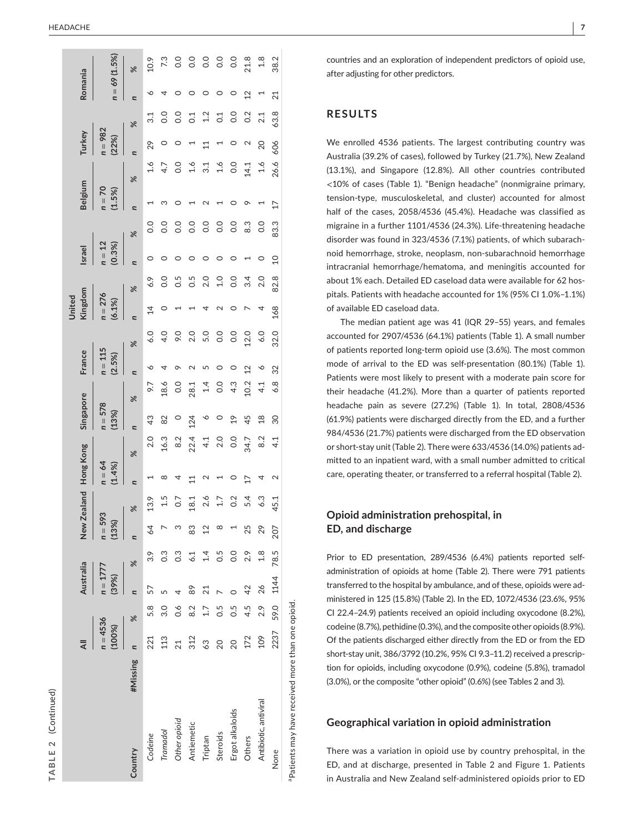| í  |  |
|----|--|
|    |  |
|    |  |
|    |  |
|    |  |
|    |  |
|    |  |
|    |  |
|    |  |
|    |  |
|    |  |
| г  |  |
| ı. |  |
|    |  |
| п  |  |
|    |  |
|    |  |
|    |  |
|    |  |
|    |  |
|    |  |
|    |  |
|    |  |
|    |  |
|    |  |

|                                                  |          |                      |                | Australia           |                | New                | <b>Zealand</b> | Hong Kong         |                | Singapore          |               | France                   |                | Kingdom<br>Jnited   |                | <b>Israel</b>      |               | <b>Belgium</b>     |      | Turkey             |                | Romania                  |                |
|--------------------------------------------------|----------|----------------------|----------------|---------------------|----------------|--------------------|----------------|-------------------|----------------|--------------------|---------------|--------------------------|----------------|---------------------|----------------|--------------------|---------------|--------------------|------|--------------------|----------------|--------------------------|----------------|
|                                                  |          | $n = 4536$<br>(100%) |                | $n = 1777$<br>(39%) |                | $n = 593$<br>(13%) |                | $n = 64$<br>(1.4% |                | $n = 578$<br>(13%) |               | $n = 115$<br>(2.5%)      |                | $n = 276$<br>(6.1%) |                | $n = 12$<br>(0.3%) |               | $n = 70$<br>(1.5%) |      | $n = 982$<br>(22%) |                | $n = 69(1.5%)$           |                |
| Country                                          | #Missing | n                    | $\frac{8}{3}$  | n                   | X              |                    | $\approx$      | $\overline{a}$    | X              |                    | $\frac{8}{3}$ | $\overline{\phantom{a}}$ | $\approx$      |                     | $\%$           |                    | $\approx$     | d                  | X    |                    | $\approx$      | $\overline{\phantom{a}}$ | $\frac{8}{3}$  |
| Codeine                                          |          | 221                  | 5.8            | 57                  | 3.9            | 64                 | 13.9           |                   | 2.0            | $\frac{3}{4}$      | 9.7           |                          | 6.0            | $\overline{4}$      | 6.9            |                    | $\rm ^{0}$    |                    | 1.6  | 29                 | 31             |                          | 10.9           |
| Tramadol                                         |          | 113                  | 3.0            |                     | c.o            | $\triangleright$   | 1.5            | ∞                 | 16.3           | 82                 | 18.6          |                          | 4.0            | $\circ$             | $\overline{0}$ |                    | 0.0           |                    | 4.7  |                    | $\overline{0}$ |                          | 73             |
| Other opioid                                     |          | $\overline{21}$      | $\frac{6}{10}$ | 4                   | c.c            | M                  | 0.7            | 4                 | 8.2            |                    | 0.0           |                          | 9.0            |                     | 0.5            |                    | $\frac{0}{0}$ |                    | 0.0  |                    | 0.0            |                          | 0.0            |
| Antiemetic                                       |          | 312                  | 8.2            | 89                  | 6.1            | 83                 | 18.1           | 11                | 22.4           | 124                | 28.1          |                          | 2.0            |                     | 0.5            |                    | 0.0           |                    | 1.6  |                    | C <sub>1</sub> | 0                        | $\overline{0}$ |
| Triptan                                          |          | 63                   | 1.7            | $\overline{21}$     | 1.4            | $\overline{2}$     | 2.6            | $\sim$            | 4.1            |                    | 1.4           |                          | 5.0            | 4                   | 2.0            |                    | 0.0           |                    | 3.1  | $\Xi$              | 1.2            | $\circ$                  | $\overline{0}$ |
| Steroids                                         |          | 20                   | 0.5            |                     | 0.5            | $\infty$           | 1.7            |                   | 2.0            |                    | 0.0           |                          | 0.0            | $\mathbf 2$         | 0.1            |                    | 0.0           |                    | 1.6  |                    | C <sub>1</sub> | $\circ$                  | $\overline{0}$ |
| Ergot alkaloids                                  |          | $\overline{20}$      | 0.5            |                     | $\overline{0}$ |                    | 0.2            | $\circ$           | $\overline{0}$ | $\frac{9}{2}$      | 4.3           |                          | $\overline{0}$ | $\circ$             | 0.0            |                    | 0.0           |                    | 0.0  | $\circ$            | 0.0            | $\circ$                  | $\overline{0}$ |
| Others                                           |          | 172                  | 4.5            | 42                  | 2.9            | 25                 | 5.4            | 17                | 34.7           | 45                 | 10.2          | 12                       | 12.0           |                     | 3.4            |                    | 8.3           |                    | 14.1 | $\scriptstyle\sim$ | 0.2            | $\overline{2}$           | 21.8           |
| Antibiotic, antiviral                            |          | 109                  | 2.9            | 26                  | $\frac{8}{1}$  | 29                 | 6.3            | 4                 | 8.2            | $\frac{8}{18}$     | 4.1           |                          | 6.0            | 4                   | 2.0            |                    | 0.0           |                    | 1.6  | 20                 | 2.1            |                          | $1.8$          |
| None                                             |          | 2237                 |                | 59.0 1144           | 78.5           | 207                | 45.1           | 2                 | 4.1            | 30                 | 6.8           | 32                       | 32.0           | 168                 | 82.8           | $\overline{a}$     | 83.3          | $\overline{17}$    | 26.6 | 606                | 63.8           | 21                       | 38.2           |
| Patients may have received more than one opioid. |          |                      |                |                     |                |                    |                |                   |                |                    |               |                          |                |                     |                |                    |               |                    |      |                    |                |                          |                |

countries and an exploration of independent predictors of opioid use, after adjusting for other predictors.

# **RESULTS**

We enrolled 4536 patients. The largest contributing country was Australia (39.2% of cases), followed by Turkey (21.7%), New Zealand (13.1%), and Singapore (12.8%). All other countries contributed <10% of cases (Table 1). "Benign headache" (nonmigraine primary, tension-type, musculoskeletal, and cluster) accounted for almost half of the cases, 2058/4536 (45.4%). Headache was classified as migraine in a further 1101/4536 (24.3%). Life-threatening headache disorder was found in 323/4536 (7.1%) patients, of which subarach noid hemorrhage, stroke, neoplasm, non-subarachnoid hemorrhage intracranial hemorrhage/hematoma, and meningitis accounted for about 1% each. Detailed ED caseload data were available for 62 hos pitals. Patients with headache accounted for 1% (95% CI 1.0%–1.1%) of available ED caseload data.

The median patient age was 41 (IQR 29–55) years, and females accounted for 2907/4536 (64.1%) patients (Table 1). A small number of patients reported long-term opioid use (3.6%). The most common mode of arrival to the ED was self-presentation (80.1%) (Table 1). Patients were most likely to present with a moderate pain score for their headache (41.2%). More than a quarter of patients reported headache pain as severe (27.2%) (Table 1). In total, 2808/4536 (61.9%) patients were discharged directly from the ED, and a further 984/4536 (21.7%) patients were discharged from the ED observation or short-stay unit (Table 2). There were 633/4536 (14.0%) patients ad mitted to an inpatient ward, with a small number admitted to critical care, operating theater, or transferred to a referral hospital (Table 2).

# **Opioid administration prehospital, in ED, and discharge**

Prior to ED presentation, 289/4536 (6.4%) patients reported selfadministration of opioids at home (Table 2). There were 791 patients transferred to the hospital by ambulance, and of these, opioids were ad ministered in 125 (15.8%) (Table 2). In the ED, 1072/4536 (23.6%, 95% CI 22.4–24.9) patients received an opioid including oxycodone (8.2%), codeine (8.7%), pethidine (0.3%), and the composite other opioids (8.9%). Of the patients discharged either directly from the ED or from the ED short-stay unit, 386/3792 (10.2%, 95% CI 9.3–11.2) received a prescrip tion for opioids, including oxycodone (0.9%), codeine (5.8%), tramadol (3.0%), or the composite "other opioid" (0.6%) (see Tables 2 and 3).

# **Geographical variation in opioid administration**

There was a variation in opioid use by country prehospital, in the ED, and at discharge, presented in Table 2 and Figure 1. Patients in Australia and New Zealand self-administered opioids prior to ED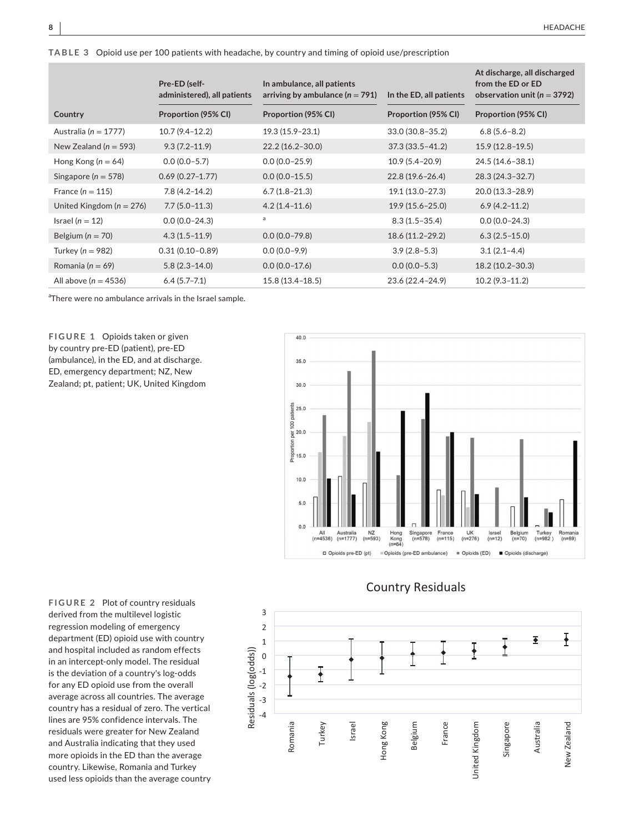**TABLE 3** Opioid use per 100 patients with headache, by country and timing of opioid use/prescription

|                              | Pre-ED (self-<br>administered), all patients | In ambulance, all patients<br>arriving by ambulance ( $n = 791$ ) | In the ED, all patients | At discharge, all discharged<br>from the ED or ED<br>observation unit ( $n = 3792$ ) |
|------------------------------|----------------------------------------------|-------------------------------------------------------------------|-------------------------|--------------------------------------------------------------------------------------|
| Country                      | Proportion (95% CI)                          | Proportion (95% CI)                                               | Proportion (95% CI)     | Proportion (95% CI)                                                                  |
| Australia ( $n = 1777$ )     | $10.7(9.4 - 12.2)$                           | 19.3 (15.9-23.1)                                                  | 33.0 (30.8-35.2)        | $6.8(5.6 - 8.2)$                                                                     |
| New Zealand ( $n = 593$ )    | $9.3(7.2 - 11.9)$                            | $22.2(16.2 - 30.0)$                                               | $37.3(33.5 - 41.2)$     | $15.9(12.8-19.5)$                                                                    |
| Hong Kong ( $n = 64$ )       | $0.0(0.0-5.7)$                               | $0.0(0.0-25.9)$                                                   | $10.9(5.4 - 20.9)$      | 24.5 (14.6-38.1)                                                                     |
| Singapore ( $n = 578$ )      | $0.69(0.27 - 1.77)$                          | $0.0(0.0-15.5)$                                                   | $22.8(19.6 - 26.4)$     | 28.3 (24.3-32.7)                                                                     |
| France $(n = 115)$           | $7.8(4.2 - 14.2)$                            | $6.7(1.8-21.3)$                                                   | 19.1 (13.0-27.3)        | 20.0 (13.3-28.9)                                                                     |
| United Kingdom ( $n = 276$ ) | $7.7(5.0-11.3)$                              | $4.2(1.4 - 11.6)$                                                 | $19.9(15.6 - 25.0)$     | $6.9(4.2 - 11.2)$                                                                    |
| Israel ( $n = 12$ )          | $0.0(0.0-24.3)$                              | a                                                                 | $8.3(1.5-35.4)$         | $0.0(0.0-24.3)$                                                                      |
| Belgium ( $n = 70$ )         | $4.3(1.5-11.9)$                              | $0.0(0.0 - 79.8)$                                                 | 18.6 (11.2–29.2)        | $6.3(2.5-15.0)$                                                                      |
| Turkey ( $n = 982$ )         | $0.31(0.10 - 0.89)$                          | $0.0(0.0 - 9.9)$                                                  | $3.9(2.8-5.3)$          | $3.1(2.1 - 4.4)$                                                                     |
| Romania ( $n = 69$ )         | $5.8(2.3-14.0)$                              | $0.0(0.0-17.6)$                                                   | $0.0(0.0-5.3)$          | 18.2 (10.2-30.3)                                                                     |
| All above ( $n = 4536$ )     | $6.4(5.7 - 7.1)$                             | $15.8(13.4 - 18.5)$                                               | 23.6 (22.4-24.9)        | $10.2(9.3-11.2)$                                                                     |

<sup>a</sup>There were no ambulance arrivals in the Israel sample.

**FIGURE 1** Opioids taken or given by country pre-ED (patient), pre-ED (ambulance), in the ED, and at discharge. ED, emergency department; NZ, New Zealand; pt, patient; UK, United Kingdom





# Country Residuals

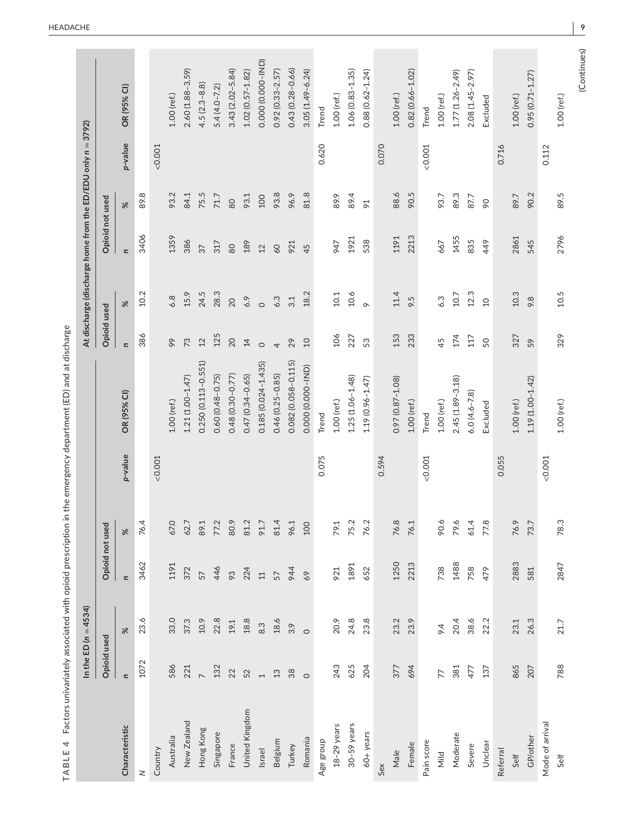|                 | In the ED $(n = 4534)$   |          |                 |                                  |         |                        |                          | At discharge (discharge home from the ED/EDU only n = 3792) |                 |                |         |                     |
|-----------------|--------------------------|----------|-----------------|----------------------------------|---------|------------------------|--------------------------|-------------------------------------------------------------|-----------------|----------------|---------|---------------------|
|                 | Opioid used              |          | Opioid not used |                                  |         |                        | Opioid used              |                                                             | Opioid not used |                |         |                     |
| Characteristic  | $\overline{a}$           | $\%$     | $\overline{a}$  | $\%$                             | p-value | OR (95% CI)            | $\overline{\phantom{a}}$ | $\%$                                                        | $\overline{a}$  | X              | p-value | OR(95% CI)          |
| $\geq$          | 1072                     | 23.6     | 3462            | 76.4                             |         |                        | 386                      | 10.2                                                        | 3406            | 89.8           |         |                     |
| Country         |                          |          |                 |                                  | < 0.001 |                        |                          |                                                             |                 |                | < 0.001 |                     |
| Australia       | 586                      | 33.0     | 1191            | 67.0                             |         | 1.00 (ref.)            | 99                       | 6.8                                                         | 1359            | 93.2           |         | 1.00 (ref.)         |
| New Zealand     | 221                      | 37.3     | 372             | 62.7                             |         | $1.21(1.00 - 1.47)$    | 73                       | 15.9                                                        | 386             | 84.1           |         | 2.60 (1.88-3.59)    |
| Hong Kong       | $\overline{a}$           | 10.9     | 57              | 89.1                             |         | $0.250(0.113 - 0.551)$ | 12                       | 24.5                                                        | 37              | 75.5           |         | $4.5(2.3 - 8.8)$    |
| Singapore       | 132                      | 22.8     | 446             | 77.2                             |         | $0.60(0.48 - 0.75)$    | 125                      | 28.3                                                        | 317             | 71.7           |         | $5.4(4.0 - 7.2)$    |
| France          | 22                       | 19.1     | 93              | 80.9                             |         | 0.48 (0.30-0.77)       | 20                       | 20                                                          | 80              | 80             |         | $3.43(2.02 - 5.84)$ |
| United Kingdom  | 52                       | $18.8\,$ | 224             | 81.2                             |         | $0.47(0.34 - 0.65)$    | $\overline{4}$           | 6.9                                                         | 189             | 93.1           |         | $1.02(0.57 - 1.82)$ |
| Israel          | $\overline{\phantom{0}}$ | 8.3      | 11              | 91.7                             |         | $0.185(0.024 - 1.435)$ | $\circ$                  | $\circ$                                                     | 12              | 100            |         | 0.000 (0.000-IND)   |
| Belgium         | $13\,$                   | 18.6     | 57              | 81.4                             |         | $0.46(0.25 - 0.85)$    | 4                        | 6.3                                                         | 60              | 93.8           |         | $0.92(0.33 - 2.57)$ |
| Turkey          | 38                       | 3.9      | 944             | 96.1                             |         | $0.082(0.058 - 0.115)$ | 29                       | 3.1                                                         | 921             | 96.9           |         | $0.43(0.28 - 0.66)$ |
| Romania         | $\circ$                  | $\circ$  | 69              | 100                              |         | 0.000 (0.000-IND)      | $\overline{10}$          | 18.2                                                        | 45              | 81.8           |         | $3.05(1.49 - 6.24)$ |
| Age group       |                          |          |                 |                                  | 0.075   | Trend                  |                          |                                                             |                 |                | 0.620   | Trend               |
| $18-29$ years   | 243                      | 20.9     | 921             | 79.1                             |         | $1.00$ (ref.)          | 106                      | $10.1\,$                                                    | 947             | 89.9           |         | 1.00 (ref.)         |
| $30-59$ years   | 625                      | 24.8     | 1891            | 75.2                             |         | $1.25(1.06 - 1.48)$    | 227                      | 10.6                                                        | 1921            | 89.4           |         | $1.06(0.83 - 1.35)$ |
| 60+ years       | 204                      | 23.8     | 652             | 76.2                             |         | 1.19 (0.96-1.47)       | 53                       | $\circ$                                                     | 538             | $\overline{6}$ |         | $0.88(0.62 - 1.24)$ |
| Sex             |                          |          |                 |                                  | 0.594   |                        |                          |                                                             |                 |                | 0.070   |                     |
| Male            | 377                      | 23.2     | 1250            | 76.8                             |         | 0.97 (0.87-1.08)       | 153                      | 11.4                                                        | 1191            | 88.6           |         | 1.00 (ref.)         |
| Female          | 694                      | 23.9     | 2213            | 76.1                             |         | $1.00$ (ref.)          | 233                      | 9.5                                                         | 2213            | 90.5           |         | $0.82(0.66 - 1.02)$ |
| Pain score      |                          |          |                 |                                  | 0.001   | Trend                  |                          |                                                             |                 |                | &0.001  | Trend               |
| Mild            | 77                       | 64       | 738             | 90.6                             |         | $1.00$ (ref.)          | 45                       | 6.3                                                         | 667             | 93.7           |         | 1.00 (ref.)         |
| Moderate        | 381                      | 20.4     | 1488            | $\tilde{\mathcal{S}}$<br>79.     |         | $2.45(1.89 - 3.18)$    | 174                      | 10.7                                                        | 1455            | 89.3           |         | $1.77(1.26 - 2.49)$ |
| Severe          | 477                      | 38.6     | 758             | 61.4                             |         | $6.0(4.6 - 7.8)$       | 117                      | 12.3                                                        | 835             | 87.7           |         | 2.08 (1.45-2.97)    |
| Unclear         | 137                      | 22.2     | 479             | $\widetilde{\mathcal{C}}$<br>77. |         | Excluded               | 50                       | $\overline{a}$                                              | 449             | $\infty$       |         | Excluded            |
| Referral        |                          |          |                 |                                  | 0.055   |                        |                          |                                                             |                 |                | 0.716   |                     |
| Self            | 865                      | 23.1     | 2883            | 76.9                             |         | 1.00 (ref.)            | 327                      | 10.3                                                        | 2861            | 89.7           |         | 1.00 (ref.)         |
| GP/other        | 207                      | 26.3     | 581             | 73.7                             |         | 1.19 (1.00-1.42)       | 59                       | 9.8                                                         | 545             | 90.2           |         | $0.95(0.71 - 1.27)$ |
| Mode of arrival |                          |          |                 |                                  | < 0.001 |                        |                          |                                                             |                 |                | 0.112   |                     |
| Self            | 788                      | 21.7     | 2847            | 78.3                             |         | 1.00 (ref.)            | 329                      | 10.5                                                        | 2796            | 89.5           |         | 1.00 (ref.)         |

TABLE 4 Factors univariately associated with opioid prescription in the emergency department (ED) and at discharge **TABLE 4** Factors univariately associated with opioid prescription in the emergency department (ED) and at discharge

**<sup>|</sup> 9**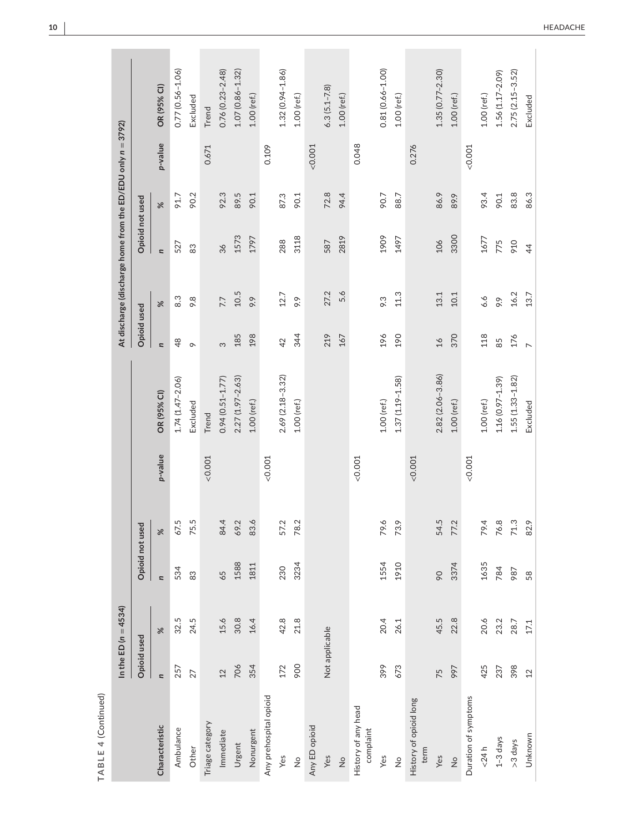| TABLE 4 (Continued)              |                          |                          |                          |          |         |                     |                          |                                                             |                 |          |         |                     |
|----------------------------------|--------------------------|--------------------------|--------------------------|----------|---------|---------------------|--------------------------|-------------------------------------------------------------|-----------------|----------|---------|---------------------|
|                                  |                          | In the ED ( $n = 4534$ ) |                          |          |         |                     |                          | At discharge (discharge home from the ED/EDU only n = 3792) |                 |          |         |                     |
|                                  | <b>Opioid used</b>       |                          | Opioid not used          |          |         |                     | Opioid used              |                                                             | Opioid not used |          |         |                     |
| Characteristic                   | $\overline{\phantom{a}}$ | ৯ৎ                       | $\overline{\phantom{a}}$ | $\aleph$ | p-value | OR (95% CI)         | $\overline{\phantom{a}}$ | $\aleph$                                                    | $\overline{a}$  | $\aleph$ | p-value | OR (95% CI)         |
| Ambulance                        | 257                      | 32.5                     | 534                      | 67.5     |         | $1.74(1.47 - 2.06)$ | 48                       | 8.3                                                         | 527             | 91.7     |         | $0.77(0.56 - 1.06)$ |
| Other                            | 27                       | 24.5                     | 83                       | 75.5     |         | Excluded            | $\circ$                  | 9.8                                                         | 83              | 90.2     |         | Excluded            |
| Triage category                  |                          |                          |                          |          | < 0.001 | Trend               |                          |                                                             |                 |          | 0.671   | Trend               |
| Immediate                        | 12                       | 15.6                     | 65                       | 84.4     |         | $0.94(0.51 - 1.77)$ | က                        | 7.7                                                         | 36              | 92.3     |         | $0.76(0.23 - 2.48)$ |
| Urgent                           | 706                      | 30.8                     | 1588                     | 69.2     |         | 2.27 (1.97-2.63)    | 185                      | 10.5                                                        | 1573            | 89.5     |         | $1.07(0.86 - 1.32)$ |
| Nonurgent                        | 354                      | 16.4                     | 1811                     | 83.6     |         | $1.00$ (ref.)       | 198                      | 9.9                                                         | 1797            | 90.1     |         | $1.00$ (ref.)       |
| Any prehospital opioid           |                          |                          |                          |          | &0.001  |                     |                          |                                                             |                 |          | 0.109   |                     |
| Yes                              | 172                      | 42.8                     | 230                      | 57.2     |         | 2.69 (2.18-3.32)    | 42                       | 12.7                                                        | 288             | 87.3     |         | $1.32(0.94 - 1.86)$ |
| $\frac{1}{2}$                    | 900                      | 21.8                     | 3234                     | 78.2     |         | $1.00$ (ref.)       | 344                      | 9.9                                                         | 3118            | 90.1     |         | 1.00 (ref.)         |
| Any ED opioid                    |                          |                          |                          |          |         |                     |                          |                                                             |                 |          | < 0.001 |                     |
| Yes                              | Not applicable           |                          |                          |          |         |                     | 219                      | 27.2                                                        | 587             | 72.8     |         | $6.3(5.1 - 7.8)$    |
| $\frac{1}{2}$                    |                          |                          |                          |          |         |                     | 167                      | 5.6                                                         | 2819            | 94.4     |         | 1.00 (ref.)         |
| History of any head<br>complaint |                          |                          |                          |          | < 0.001 |                     |                          |                                                             |                 |          | 0.048   |                     |
| Yes                              | 399                      | 20.4                     | 1554                     | 79.6     |         | $1.00$ (ref.)       | 196                      | 9.3                                                         | 1909            | 90.7     |         | 0.81 (0.66-1.00)    |
| $\frac{1}{2}$                    | 673                      | 26.1                     | 1910                     | 73.9     |         | $1.37(1.19 - 1.58)$ | 190                      | 11.3                                                        | 1497            | 88.7     |         | $1.00$ (ref.)       |
| History of opioid long<br>term   |                          |                          |                          |          | < 0.001 |                     |                          |                                                             |                 |          | 0.276   |                     |
| Yes                              | 75                       | 45.5                     | 90                       | 54.5     |         | $2.82(2.06 - 3.86)$ | $\frac{1}{6}$            | 13.1                                                        | 106             | 86.9     |         | $1.35(0.77 - 2.30)$ |
| $\frac{1}{2}$                    | 997                      | 22.8                     | 3374                     | 77.2     |         | $1.00$ (ref.)       | 370                      | 10.1                                                        | 3300            | 89.9     |         | $1.00$ (ref.)       |
| Duration of symptoms             |                          |                          |                          |          | < 0.001 |                     |                          |                                                             |                 |          | &0.001  |                     |
| < 24 h                           | 425                      | 20.6                     | 1635                     | 79.4     |         | $1.00$ (ref.)       | 118                      | 6.6                                                         | 1677            | 93.4     |         | 1.00 (ref.)         |
| $1-3$ days                       | 237                      | 23.2                     | 784                      | 76.8     |         | $1.16(0.97 - 1.39)$ | 85                       | 9.9                                                         | 775             | 90.1     |         | $1.56(1.17 - 2.09)$ |
| >3 days                          | 398                      | 28.7                     | 987                      | 71.3     |         | $1.55(1.33 - 1.82)$ | 176                      | 16.2                                                        | 910             | 83.8     |         | $2.75(2.15 - 3.52)$ |
| Unknown                          | 12                       | 17.1                     | 58                       | 82.9     |         | Excluded            |                          | 13.7                                                        | $\overline{4}$  | 86.3     |         | Excluded            |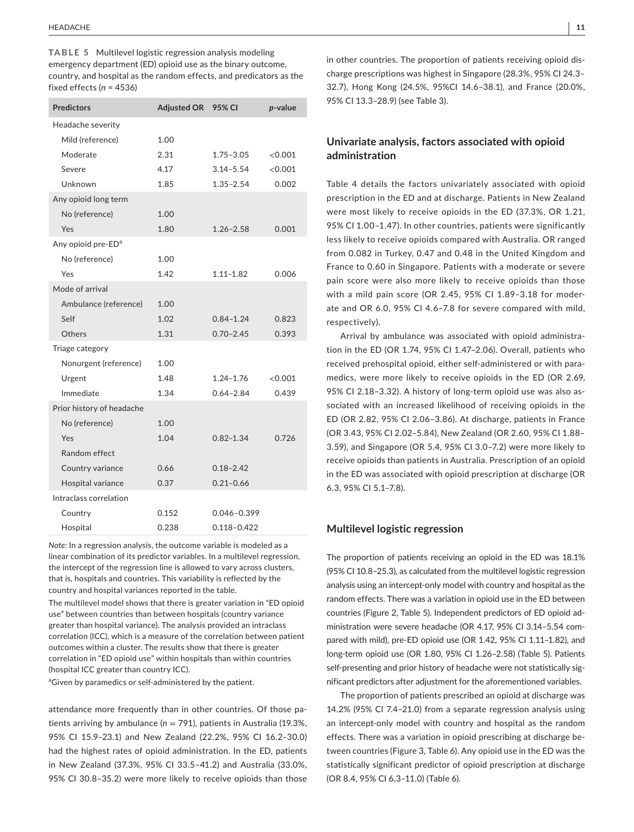**TABLE 5** Multilevel logistic regression analysis modeling emergency department (ED) opioid use as the binary outcome, country, and hospital as the random effects, and predicators as the fixed effects (*n* = 4536)

| <b>Predictors</b>              | <b>Adjusted OR</b> | 95% CI          | p-value |
|--------------------------------|--------------------|-----------------|---------|
| Headache severity              |                    |                 |         |
| Mild (reference)               | 1.00               |                 |         |
| Moderate                       | 2.31               | $1.75 - 3.05$   | < 0.001 |
| Severe                         | 4.17               | $3.14 - 5.54$   | < 0.001 |
| Unknown                        | 1.85               | $1.35 - 2.54$   | 0.002   |
| Any opioid long term           |                    |                 |         |
| No (reference)                 | 1.00               |                 |         |
| Yes                            | 1.80               | $1.26 - 2.58$   | 0.001   |
| Any opioid pre-ED <sup>a</sup> |                    |                 |         |
| No (reference)                 | 1.00               |                 |         |
| Yes                            | 1.42               | $1.11 - 1.82$   | 0.006   |
| Mode of arrival                |                    |                 |         |
| Ambulance (reference)          | 1.00               |                 |         |
| Self                           | 1.02               | $0.84 - 1.24$   | 0.823   |
| Others                         | 1.31               | $0.70 - 2.45$   | 0.393   |
| Triage category                |                    |                 |         |
| Nonurgent (reference)          | 1.00               |                 |         |
| Urgent                         | 1.48               | $1.24 - 1.76$   | <0.001  |
| Immediate                      | 1.34               | $0.64 - 2.84$   | 0.439   |
| Prior history of headache      |                    |                 |         |
| No (reference)                 | 1.00               |                 |         |
| Yes                            | 1.04               | $0.82 - 1.34$   | 0.726   |
| Random effect                  |                    |                 |         |
| Country variance               | 0.66               | $0.18 - 2.42$   |         |
| Hospital variance              | 0.37               | $0.21 - 0.66$   |         |
| Intraclass correlation         |                    |                 |         |
| Country                        | 0.152              | 0.046-0.399     |         |
| Hospital                       | 0.238              | $0.118 - 0.422$ |         |

*Note:* In a regression analysis, the outcome variable is modeled as a linear combination of its predictor variables. In a multilevel regression, the intercept of the regression line is allowed to vary across clusters, that is, hospitals and countries. This variability is reflected by the country and hospital variances reported in the table.

The multilevel model shows that there is greater variation in "ED opioid use" between countries than between hospitals (country variance greater than hospital variance). The analysis provided an intraclass correlation (ICC), which is a measure of the correlation between patient outcomes within a cluster. The results show that there is greater correlation in "ED opioid use" within hospitals than within countries (hospital ICC greater than country ICC).

<sup>a</sup>Given by paramedics or self-administered by the patient.

attendance more frequently than in other countries. Of those patients arriving by ambulance (*n* = 791), patients in Australia (19.3%, 95% CI 15.9–23.1) and New Zealand (22.2%, 95% CI 16.2–30.0) had the highest rates of opioid administration. In the ED, patients in New Zealand (37.3%, 95% CI 33.5–41.2) and Australia (33.0%, 95% CI 30.8–35.2) were more likely to receive opioids than those in other countries. The proportion of patients receiving opioid discharge prescriptions was highest in Singapore (28.3%, 95% CI 24.3– 32.7), Hong Kong (24.5%, 95%CI 14.6–38.1), and France (20.0%, 95% CI 13.3–28.9) (see Table 3).

# **Univariate analysis, factors associated with opioid administration**

Table 4 details the factors univariately associated with opioid prescription in the ED and at discharge. Patients in New Zealand were most likely to receive opioids in the ED (37.3%, OR 1.21, 95% CI 1.00–1.47). In other countries, patients were significantly less likely to receive opioids compared with Australia. OR ranged from 0.082 in Turkey, 0.47 and 0.48 in the United Kingdom and France to 0.60 in Singapore. Patients with a moderate or severe pain score were also more likely to receive opioids than those with a mild pain score (OR 2.45, 95% CI 1.89–3.18 for moderate and OR 6.0, 95% CI 4.6–7.8 for severe compared with mild, respectively).

Arrival by ambulance was associated with opioid administration in the ED (OR 1.74, 95% CI 1.47–2.06). Overall, patients who received prehospital opioid, either self-administered or with paramedics, were more likely to receive opioids in the ED (OR 2.69, 95% CI 2.18–3.32). A history of long-term opioid use was also associated with an increased likelihood of receiving opioids in the ED (OR 2.82, 95% CI 2.06–3.86). At discharge, patients in France (OR 3.43, 95% CI 2.02–5.84), New Zealand (OR 2.60, 95% CI 1.88– 3.59), and Singapore (OR 5.4, 95% CI 3.0–7.2) were more likely to receive opioids than patients in Australia. Prescription of an opioid in the ED was associated with opioid prescription at discharge (OR 6.3, 95% CI 5.1–7.8).

### **Multilevel logistic regression**

The proportion of patients receiving an opioid in the ED was 18.1% (95% CI 10.8–25.3), as calculated from the multilevel logistic regression analysis using an intercept-only model with country and hospital as the random effects. There was a variation in opioid use in the ED between countries (Figure 2, Table 5). Independent predictors of ED opioid administration were severe headache (OR 4.17, 95% CI 3.14–5.54 compared with mild), pre-ED opioid use (OR 1.42, 95% CI 1.11–1.82), and long-term opioid use (OR 1.80, 95% CI 1.26–2.58) (Table 5). Patients self-presenting and prior history of headache were not statistically significant predictors after adjustment for the aforementioned variables.

The proportion of patients prescribed an opioid at discharge was 14.2% (95% CI 7.4–21.0) from a separate regression analysis using an intercept-only model with country and hospital as the random effects. There was a variation in opioid prescribing at discharge between countries (Figure 3, Table 6). Any opioid use in the ED was the statistically significant predictor of opioid prescription at discharge (OR 8.4, 95% CI 6.3–11.0) (Table 6).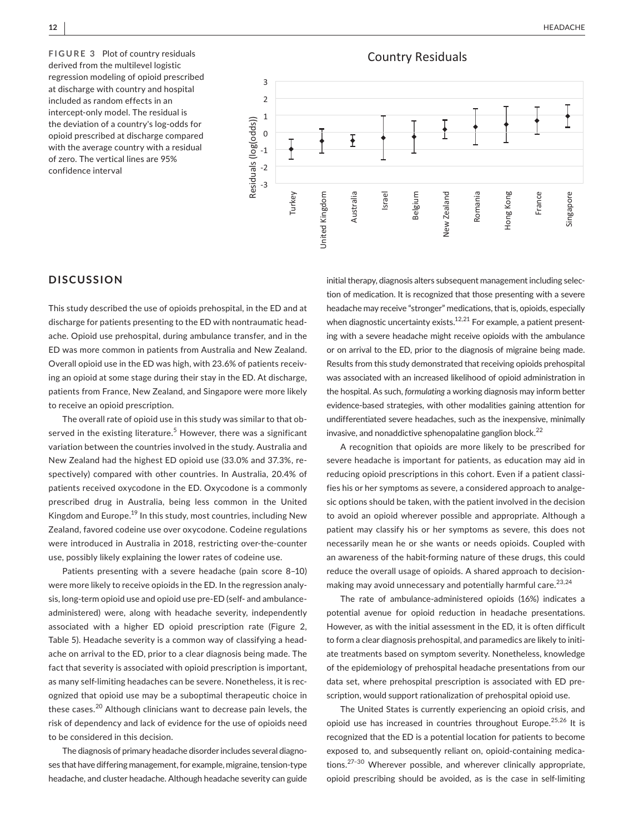**FIGURE 3** Plot of country residuals derived from the multilevel logistic regression modeling of opioid prescribed at discharge with country and hospital included as random effects in an intercept-only model. The residual is the deviation of a country's log-odds for opioid prescribed at discharge compared with the average country with a residual of zero. The vertical lines are 95% confidence interval



# **DISCUSSION**

This study described the use of opioids prehospital, in the ED and at discharge for patients presenting to the ED with nontraumatic headache. Opioid use prehospital, during ambulance transfer, and in the ED was more common in patients from Australia and New Zealand. Overall opioid use in the ED was high, with 23.6% of patients receiving an opioid at some stage during their stay in the ED. At discharge, patients from France, New Zealand, and Singapore were more likely to receive an opioid prescription.

The overall rate of opioid use in this study was similar to that observed in the existing literature.<sup>5</sup> However, there was a significant variation between the countries involved in the study. Australia and New Zealand had the highest ED opioid use (33.0% and 37.3%, respectively) compared with other countries. In Australia, 20.4% of patients received oxycodone in the ED. Oxycodone is a commonly prescribed drug in Australia, being less common in the United Kingdom and Europe.<sup>19</sup> In this study, most countries, including New Zealand, favored codeine use over oxycodone. Codeine regulations were introduced in Australia in 2018, restricting over-the-counter use, possibly likely explaining the lower rates of codeine use.

Patients presenting with a severe headache (pain score 8–10) were more likely to receive opioids in the ED. In the regression analysis, long-term opioid use and opioid use pre-ED (self- and ambulanceadministered) were, along with headache severity, independently associated with a higher ED opioid prescription rate (Figure 2, Table 5). Headache severity is a common way of classifying a headache on arrival to the ED, prior to a clear diagnosis being made. The fact that severity is associated with opioid prescription is important, as many self-limiting headaches can be severe. Nonetheless, it is recognized that opioid use may be a suboptimal therapeutic choice in these cases.<sup>20</sup> Although clinicians want to decrease pain levels, the risk of dependency and lack of evidence for the use of opioids need to be considered in this decision.

The diagnosis of primary headache disorder includes several diagnoses that have differing management, for example, migraine, tension-type headache, and cluster headache. Although headache severity can guide initial therapy, diagnosis alters subsequent management including selection of medication. It is recognized that those presenting with a severe headache may receive "stronger" medications, that is, opioids, especially when diagnostic uncertainty exists.<sup>12,21</sup> For example, a patient presenting with a severe headache might receive opioids with the ambulance or on arrival to the ED, prior to the diagnosis of migraine being made. Results from this study demonstrated that receiving opioids prehospital was associated with an increased likelihood of opioid administration in the hospital. As such, *formulating* a working diagnosis may inform better evidence-based strategies, with other modalities gaining attention for undifferentiated severe headaches, such as the inexpensive, minimally invasive, and nonaddictive sphenopalatine ganglion block.<sup>22</sup>

A recognition that opioids are more likely to be prescribed for severe headache is important for patients, as education may aid in reducing opioid prescriptions in this cohort. Even if a patient classifies his or her symptoms as severe, a considered approach to analgesic options should be taken, with the patient involved in the decision to avoid an opioid wherever possible and appropriate. Although a patient may classify his or her symptoms as severe, this does not necessarily mean he or she wants or needs opioids. Coupled with an awareness of the habit-forming nature of these drugs, this could reduce the overall usage of opioids. A shared approach to decisionmaking may avoid unnecessary and potentially harmful care.<sup>23,24</sup>

The rate of ambulance-administered opioids (16%) indicates a potential avenue for opioid reduction in headache presentations. However, as with the initial assessment in the ED, it is often difficult to form a clear diagnosis prehospital, and paramedics are likely to initiate treatments based on symptom severity. Nonetheless, knowledge of the epidemiology of prehospital headache presentations from our data set, where prehospital prescription is associated with ED prescription, would support rationalization of prehospital opioid use.

The United States is currently experiencing an opioid crisis, and opioid use has increased in countries throughout Europe.<sup>25,26</sup> It is recognized that the ED is a potential location for patients to become exposed to, and subsequently reliant on, opioid-containing medications.27–30 Wherever possible, and wherever clinically appropriate, opioid prescribing should be avoided, as is the case in self-limiting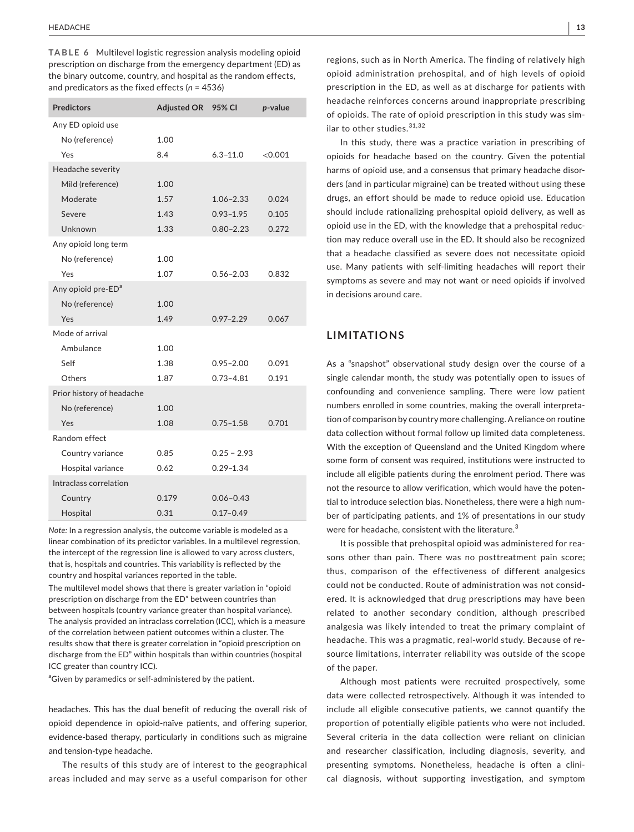**TABLE 6** Multilevel logistic regression analysis modeling opioid prescription on discharge from the emergency department (ED) as the binary outcome, country, and hospital as the random effects, and predicators as the fixed effects (*n* = 4536)

| <b>Predictors</b>              | <b>Adjusted OR</b> | 95% CI        | p-value |
|--------------------------------|--------------------|---------------|---------|
| Any ED opioid use              |                    |               |         |
| No (reference)                 | 1.00               |               |         |
| Yes                            | 8.4                | $6.3 - 11.0$  | <0.001  |
| Headache severity              |                    |               |         |
| Mild (reference)               | 1.00               |               |         |
| Moderate                       | 1.57               | $1.06 - 2.33$ | 0.024   |
| Severe                         | 1.43               | $0.93 - 1.95$ | 0.105   |
| Unknown                        | 1.33               | $0.80 - 2.23$ | 0.272   |
| Any opioid long term           |                    |               |         |
| No (reference)                 | 1.00               |               |         |
| Yes                            | 1.07               | $0.56 - 2.03$ | 0.832   |
| Any opioid pre-ED <sup>a</sup> |                    |               |         |
| No (reference)                 | 1.00               |               |         |
| Yes                            | 1.49               | $0.97 - 2.29$ | 0.067   |
| Mode of arrival                |                    |               |         |
| Ambulance                      | 1.00               |               |         |
| Self                           | 1.38               | $0.95 - 2.00$ | 0.091   |
| Others                         | 1.87               | $0.73 - 4.81$ | 0.191   |
| Prior history of headache      |                    |               |         |
| No (reference)                 | 1.00               |               |         |
| Yes                            | 1.08               | $0.75 - 1.58$ | 0.701   |
| Random effect                  |                    |               |         |
| Country variance               | 0.85               | $0.25 - 2.93$ |         |
| Hospital variance              | 0.62               | $0.29 - 1.34$ |         |
| Intraclass correlation         |                    |               |         |
| Country                        | 0.179              | $0.06 - 0.43$ |         |
| Hospital                       | 0.31               | $0.17 - 0.49$ |         |

*Note:* In a regression analysis, the outcome variable is modeled as a linear combination of its predictor variables. In a multilevel regression, the intercept of the regression line is allowed to vary across clusters, that is, hospitals and countries. This variability is reflected by the country and hospital variances reported in the table.

The multilevel model shows that there is greater variation in "opioid prescription on discharge from the ED" between countries than between hospitals (country variance greater than hospital variance). The analysis provided an intraclass correlation (ICC), which is a measure of the correlation between patient outcomes within a cluster. The results show that there is greater correlation in "opioid prescription on discharge from the ED" within hospitals than within countries (hospital ICC greater than country ICC).

<sup>a</sup>Given by paramedics or self-administered by the patient.

headaches. This has the dual benefit of reducing the overall risk of opioid dependence in opioid-naïve patients, and offering superior, evidence-based therapy, particularly in conditions such as migraine and tension-type headache.

The results of this study are of interest to the geographical areas included and may serve as a useful comparison for other

regions, such as in North America. The finding of relatively high opioid administration prehospital, and of high levels of opioid prescription in the ED, as well as at discharge for patients with headache reinforces concerns around inappropriate prescribing of opioids. The rate of opioid prescription in this study was similar to other studies. 31,32

In this study, there was a practice variation in prescribing of opioids for headache based on the country. Given the potential harms of opioid use, and a consensus that primary headache disorders (and in particular migraine) can be treated without using these drugs, an effort should be made to reduce opioid use. Education should include rationalizing prehospital opioid delivery, as well as opioid use in the ED, with the knowledge that a prehospital reduction may reduce overall use in the ED. It should also be recognized that a headache classified as severe does not necessitate opioid use. Many patients with self-limiting headaches will report their symptoms as severe and may not want or need opioids if involved in decisions around care.

# **LIMITATIONS**

As a "snapshot" observational study design over the course of a single calendar month, the study was potentially open to issues of confounding and convenience sampling. There were low patient numbers enrolled in some countries, making the overall interpretation of comparison by country more challenging. A reliance on routine data collection without formal follow up limited data completeness. With the exception of Queensland and the United Kingdom where some form of consent was required, institutions were instructed to include all eligible patients during the enrolment period. There was not the resource to allow verification, which would have the potential to introduce selection bias. Nonetheless, there were a high number of participating patients, and 1% of presentations in our study were for headache, consistent with the literature.<sup>3</sup>

It is possible that prehospital opioid was administered for reasons other than pain. There was no posttreatment pain score; thus, comparison of the effectiveness of different analgesics could not be conducted. Route of administration was not considered. It is acknowledged that drug prescriptions may have been related to another secondary condition, although prescribed analgesia was likely intended to treat the primary complaint of headache. This was a pragmatic, real-world study. Because of resource limitations, interrater reliability was outside of the scope of the paper.

Although most patients were recruited prospectively, some data were collected retrospectively. Although it was intended to include all eligible consecutive patients, we cannot quantify the proportion of potentially eligible patients who were not included. Several criteria in the data collection were reliant on clinician and researcher classification, including diagnosis, severity, and presenting symptoms. Nonetheless, headache is often a clinical diagnosis, without supporting investigation, and symptom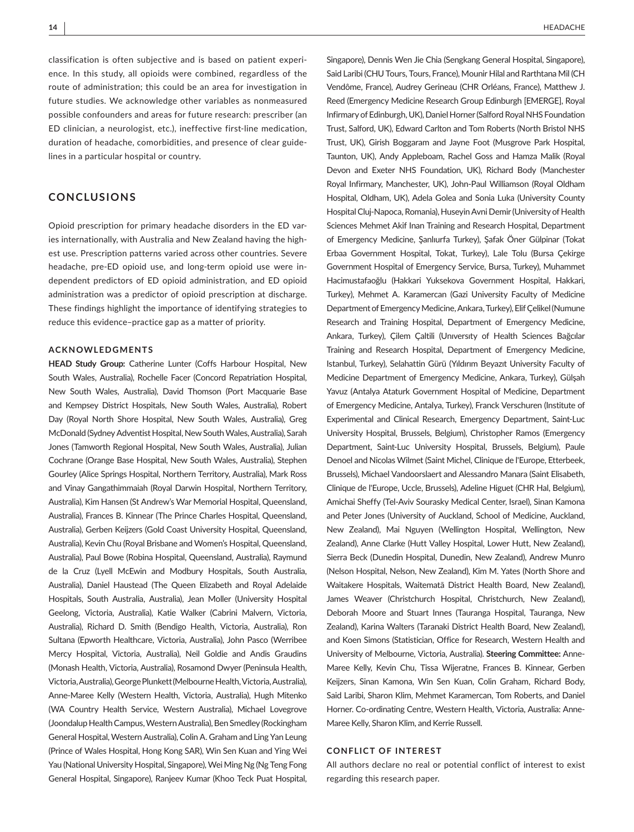classification is often subjective and is based on patient experience. In this study, all opioids were combined, regardless of the route of administration; this could be an area for investigation in future studies. We acknowledge other variables as nonmeasured possible confounders and areas for future research: prescriber (an ED clinician, a neurologist, etc.), ineffective first-line medication, duration of headache, comorbidities, and presence of clear guidelines in a particular hospital or country.

# **CONCLUSIONS**

Opioid prescription for primary headache disorders in the ED varies internationally, with Australia and New Zealand having the highest use. Prescription patterns varied across other countries. Severe headache, pre-ED opioid use, and long-term opioid use were independent predictors of ED opioid administration, and ED opioid administration was a predictor of opioid prescription at discharge. These findings highlight the importance of identifying strategies to reduce this evidence–practice gap as a matter of priority.

### **ACKNOWLEDGMENTS**

**HEAD Study Group:** Catherine Lunter (Coffs Harbour Hospital, New South Wales, Australia), Rochelle Facer (Concord Repatriation Hospital, New South Wales, Australia), David Thomson (Port Macquarie Base and Kempsey District Hospitals, New South Wales, Australia), Robert Day (Royal North Shore Hospital, New South Wales, Australia), Greg McDonald (Sydney Adventist Hospital, New South Wales, Australia), Sarah Jones (Tamworth Regional Hospital, New South Wales, Australia), Julian Cochrane (Orange Base Hospital, New South Wales, Australia), Stephen Gourley (Alice Springs Hospital, Northern Territory, Australia), Mark Ross and Vinay Gangathimmaiah (Royal Darwin Hospital, Northern Territory, Australia), Kim Hansen (St Andrew's War Memorial Hospital, Queensland, Australia), Frances B. Kinnear (The Prince Charles Hospital, Queensland, Australia), Gerben Keijzers (Gold Coast University Hospital, Queensland, Australia), Kevin Chu (Royal Brisbane and Women's Hospital, Queensland, Australia), Paul Bowe (Robina Hospital, Queensland, Australia), Raymund de la Cruz (Lyell McEwin and Modbury Hospitals, South Australia, Australia), Daniel Haustead (The Queen Elizabeth and Royal Adelaide Hospitals, South Australia, Australia), Jean Moller (University Hospital Geelong, Victoria, Australia), Katie Walker (Cabrini Malvern, Victoria, Australia), Richard D. Smith (Bendigo Health, Victoria, Australia), Ron Sultana (Epworth Healthcare, Victoria, Australia), John Pasco (Werribee Mercy Hospital, Victoria, Australia), Neil Goldie and Andis Graudins (Monash Health, Victoria, Australia), Rosamond Dwyer (Peninsula Health, Victoria, Australia), George Plunkett (Melbourne Health, Victoria, Australia), Anne-Maree Kelly (Western Health, Victoria, Australia), Hugh Mitenko (WA Country Health Service, Western Australia), Michael Lovegrove (Joondalup Health Campus, Western Australia), Ben Smedley (Rockingham General Hospital, Western Australia), Colin A. Graham and Ling Yan Leung (Prince of Wales Hospital, Hong Kong SAR), Win Sen Kuan and Ying Wei Yau (National University Hospital, Singapore), Wei Ming Ng (Ng Teng Fong General Hospital, Singapore), Ranjeev Kumar (Khoo Teck Puat Hospital,

Singapore), Dennis Wen Jie Chia (Sengkang General Hospital, Singapore), Said Laribi (CHU Tours, Tours, France), Mounir Hilal and Rarthtana Mil (CH Vendôme, France), Audrey Gerineau (CHR Orléans, France), Matthew J. Reed (Emergency Medicine Research Group Edinburgh [EMERGE], Royal Infirmary of Edinburgh, UK), Daniel Horner (Salford Royal NHS Foundation Trust, Salford, UK), Edward Carlton and Tom Roberts (North Bristol NHS Trust, UK), Girish Boggaram and Jayne Foot (Musgrove Park Hospital, Taunton, UK), Andy Appleboam, Rachel Goss and Hamza Malik (Royal Devon and Exeter NHS Foundation, UK), Richard Body (Manchester Royal Infirmary, Manchester, UK), John-Paul Williamson (Royal Oldham Hospital, Oldham, UK), Adela Golea and Sonia Luka (University County Hospital Cluj-Napoca, Romania), Huseyin Avni Demir (University of Health Sciences Mehmet Akif Inan Training and Research Hospital, Department of Emergency Medicine, Şanlıurfa Turkey), Şafak Öner Gülpinar (Tokat Erbaa Government Hospital, Tokat, Turkey), Lale Tolu (Bursa Çekirge Government Hospital of Emergency Service, Bursa, Turkey), Muhammet Hacimustafaoğlu (Hakkari Yuksekova Government Hospital, Hakkari, Turkey), Mehmet A. Karamercan (Gazi University Faculty of Medicine Department of Emergency Medicine, Ankara, Turkey), Elif Çelikel (Numune Research and Training Hospital, Department of Emergency Medicine, Ankara, Turkey), Çilem Çaltili (Unıversıty of Health Sciences Bağcılar Training and Research Hospital, Department of Emergency Medicine, Istanbul, Turkey), Selahattin Gürü (Yıldırım Beyazıt University Faculty of Medicine Department of Emergency Medicine, Ankara, Turkey), Gülşah Yavuz (Antalya Ataturk Government Hospital of Medicine, Department of Emergency Medicine, Antalya, Turkey), Franck Verschuren (Institute of Experimental and Clinical Research, Emergency Department, Saint-Luc University Hospital, Brussels, Belgium), Christopher Ramos (Emergency Department, Saint-Luc University Hospital, Brussels, Belgium), Paule Denoel and Nicolas Wilmet (Saint Michel, Clinique de l'Europe, Etterbeek, Brussels), Michael Vandoorslaert and Alessandro Manara (Saint Elisabeth, Clinique de l'Europe, Uccle, Brussels), Adeline Higuet (CHR Hal, Belgium), Amichai Sheffy (Tel-Aviv Sourasky Medical Center, Israel), Sinan Kamona and Peter Jones (University of Auckland, School of Medicine, Auckland, New Zealand), Mai Nguyen (Wellington Hospital, Wellington, New Zealand), Anne Clarke (Hutt Valley Hospital, Lower Hutt, New Zealand), Sierra Beck (Dunedin Hospital, Dunedin, New Zealand), Andrew Munro (Nelson Hospital, Nelson, New Zealand), Kim M. Yates (North Shore and Waitakere Hospitals, Waitematā District Health Board, New Zealand), James Weaver (Christchurch Hospital, Christchurch, New Zealand), Deborah Moore and Stuart Innes (Tauranga Hospital, Tauranga, New Zealand), Karina Walters (Taranaki District Health Board, New Zealand), and Koen Simons (Statistician, Office for Research, Western Health and University of Melbourne, Victoria, Australia). **Steering Committee:** Anne-Maree Kelly, Kevin Chu, Tissa Wijeratne, Frances B. Kinnear, Gerben Keijzers, Sinan Kamona, Win Sen Kuan, Colin Graham, Richard Body, Said Laribi, Sharon Klim, Mehmet Karamercan, Tom Roberts, and Daniel Horner. Co-ordinating Centre, Western Health, Victoria, Australia: Anne-Maree Kelly, Sharon Klim, and Kerrie Russell.

### **CONFLICT OF INTEREST**

All authors declare no real or potential conflict of interest to exist regarding this research paper.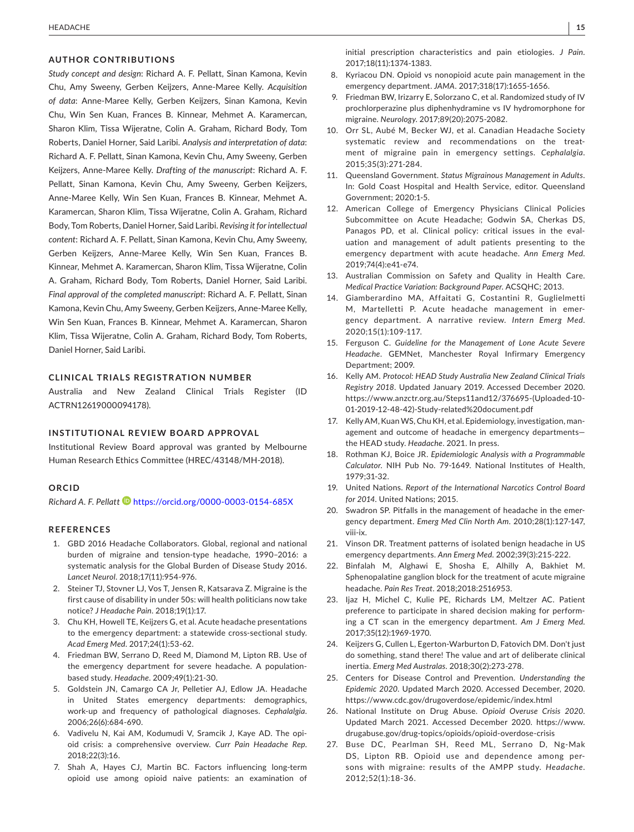# **AUTHOR CONTRIBUTIONS**

*Study concept and design*: Richard A. F. Pellatt, Sinan Kamona, Kevin Chu, Amy Sweeny, Gerben Keijzers, Anne-Maree Kelly. *Acquisition of data*: Anne-Maree Kelly, Gerben Keijzers, Sinan Kamona, Kevin Chu, Win Sen Kuan, Frances B. Kinnear, Mehmet A. Karamercan, Sharon Klim, Tissa Wijeratne, Colin A. Graham, Richard Body, Tom Roberts, Daniel Horner, Said Laribi. *Analysis and interpretation of data*: Richard A. F. Pellatt, Sinan Kamona, Kevin Chu, Amy Sweeny, Gerben Keijzers, Anne-Maree Kelly. *Drafting of the manuscript*: Richard A. F. Pellatt, Sinan Kamona, Kevin Chu, Amy Sweeny, Gerben Keijzers, Anne-Maree Kelly, Win Sen Kuan, Frances B. Kinnear, Mehmet A. Karamercan, Sharon Klim, Tissa Wijeratne, Colin A. Graham, Richard Body, Tom Roberts, Daniel Horner, Said Laribi. *Revising it for intellectual content*: Richard A. F. Pellatt, Sinan Kamona, Kevin Chu, Amy Sweeny, Gerben Keijzers, Anne-Maree Kelly, Win Sen Kuan, Frances B. Kinnear, Mehmet A. Karamercan, Sharon Klim, Tissa Wijeratne, Colin A. Graham, Richard Body, Tom Roberts, Daniel Horner, Said Laribi. *Final approval of the completed manuscript*: Richard A. F. Pellatt, Sinan Kamona, Kevin Chu, Amy Sweeny, Gerben Keijzers, Anne-Maree Kelly, Win Sen Kuan, Frances B. Kinnear, Mehmet A. Karamercan, Sharon Klim, Tissa Wijeratne, Colin A. Graham, Richard Body, Tom Roberts, Daniel Horner, Said Laribi.

### **CLINICAL TRIALS REGISTRATION NUMBER**

Australia and New Zealand Clinical Trials Register (ID ACTRN12619000094178).

### **INSTITUTIONAL REVIEW BOARD APPROVAL**

Institutional Review Board approval was granted by Melbourne Human Research Ethics Committee (HREC/43148/MH-2018).

### **ORCID**

*Richard A. F. Pellatt* <https://orcid.org/0000-0003-0154-685X>

### **REFERENCES**

- 1. GBD 2016 Headache Collaborators. Global, regional and national burden of migraine and tension-type headache, 1990–2016: a systematic analysis for the Global Burden of Disease Study 2016. *Lancet Neurol*. 2018;17(11):954-976.
- 2. Steiner TJ, Stovner LJ, Vos T, Jensen R, Katsarava Z. Migraine is the first cause of disability in under 50s: will health politicians now take notice? *J Headache Pain*. 2018;19(1):17.
- 3. Chu KH, Howell TE, Keijzers G, et al. Acute headache presentations to the emergency department: a statewide cross-sectional study. *Acad Emerg Med*. 2017;24(1):53-62.
- 4. Friedman BW, Serrano D, Reed M, Diamond M, Lipton RB. Use of the emergency department for severe headache. A populationbased study. *Headache*. 2009;49(1):21-30.
- 5. Goldstein JN, Camargo CA Jr, Pelletier AJ, Edlow JA. Headache in United States emergency departments: demographics, work-up and frequency of pathological diagnoses. *Cephalalgia*. 2006;26(6):684-690.
- 6. Vadivelu N, Kai AM, Kodumudi V, Sramcik J, Kaye AD. The opioid crisis: a comprehensive overview. *Curr Pain Headache Rep*. 2018;22(3):16.
- 7. Shah A, Hayes CJ, Martin BC. Factors influencing long-term opioid use among opioid naive patients: an examination of

initial prescription characteristics and pain etiologies. *J Pain*. 2017;18(11):1374-1383.

- 8. Kyriacou DN. Opioid vs nonopioid acute pain management in the emergency department. *JAMA*. 2017;318(17):1655-1656.
- 9. Friedman BW, Irizarry E, Solorzano C, et al. Randomized study of IV prochlorperazine plus diphenhydramine vs IV hydromorphone for migraine. *Neurology*. 2017;89(20):2075-2082.
- 10. Orr SL, Aubé M, Becker WJ, et al. Canadian Headache Society systematic review and recommendations on the treatment of migraine pain in emergency settings. *Cephalalgia*. 2015;35(3):271-284.
- 11. Queensland Government. *Status Migrainous Management in Adults*. In: Gold Coast Hospital and Health Service, editor. Queensland Government; 2020:1-5.
- 12. American College of Emergency Physicians Clinical Policies Subcommittee on Acute Headache; Godwin SA, Cherkas DS, Panagos PD, et al. Clinical policy: critical issues in the evaluation and management of adult patients presenting to the emergency department with acute headache. *Ann Emerg Med*. 2019;74(4):e41-e74.
- 13. Australian Commission on Safety and Quality in Health Care. *Medical Practice Variation: Background Paper*. ACSQHC; 2013.
- 14. Giamberardino MA, Affaitati G, Costantini R, Guglielmetti M, Martelletti P. Acute headache management in emergency department. A narrative review. *Intern Emerg Med*. 2020;15(1):109-117.
- 15. Ferguson C. *Guideline for the Management of Lone Acute Severe Headache*. GEMNet, Manchester Royal Infirmary Emergency Department; 2009.
- 16. Kelly AM. *Protocol: HEAD Study Australia New Zealand Clinical Trials Registry 2018*. Updated January 2019. Accessed December 2020. [https://www.anzctr.org.au/Steps11and12/376695-\(Uploaded-10-](https://www.anzctr.org.au/Steps11and12/376695-(Uploaded-10-01-2019-12-48-42)-Study-related document.pdf) [01-2019-12-48-42\)-Study-related%20document.pdf](https://www.anzctr.org.au/Steps11and12/376695-(Uploaded-10-01-2019-12-48-42)-Study-related document.pdf)
- 17. Kelly AM, Kuan WS, Chu KH, et al. Epidemiology, investigation, management and outcome of headache in emergency departments the HEAD study. *Headache*. 2021. In press.
- 18. Rothman KJ, Boice JR. *Epidemiologic Analysis with a Programmable Calculator*. NIH Pub No. 79-1649. National Institutes of Health, 1979;31-32.
- 19. United Nations. *Report of the International Narcotics Control Board for 2014*. United Nations; 2015.
- 20. Swadron SP. Pitfalls in the management of headache in the emergency department. *Emerg Med Clin North Am*. 2010;28(1):127-147, viii-ix.
- 21. Vinson DR. Treatment patterns of isolated benign headache in US emergency departments. *Ann Emerg Med*. 2002;39(3):215-222.
- 22. Binfalah M, Alghawi E, Shosha E, Alhilly A, Bakhiet M. Sphenopalatine ganglion block for the treatment of acute migraine headache. *Pain Res Treat*. 2018;2018:2516953.
- 23. Ijaz H, Michel C, Kulie PE, Richards LM, Meltzer AC. Patient preference to participate in shared decision making for performing a CT scan in the emergency department. *Am J Emerg Med*. 2017;35(12):1969-1970.
- 24. Keijzers G, Cullen L, Egerton-Warburton D, Fatovich DM. Don't just do something, stand there! The value and art of deliberate clinical inertia. *Emerg Med Australas*. 2018;30(2):273-278.
- 25. Centers for Disease Control and Prevention. *Understanding the Epidemic 2020*. Updated March 2020. Accessed December, 2020. <https://www.cdc.gov/drugoverdose/epidemic/index.html>
- 26. National Institute on Drug Abuse. *Opioid Overuse Crisis 2020*. Updated March 2021. Accessed December 2020. [https://www.](https://www.drugabuse.gov/drug-topics/opioids/opioid-overdose-crisis) [drugabuse.gov/drug-topics/opioids/opioid-overdose-crisis](https://www.drugabuse.gov/drug-topics/opioids/opioid-overdose-crisis)
- 27. Buse DC, Pearlman SH, Reed ML, Serrano D, Ng-Mak DS, Lipton RB. Opioid use and dependence among persons with migraine: results of the AMPP study. *Headache*. 2012;52(1):18-36.